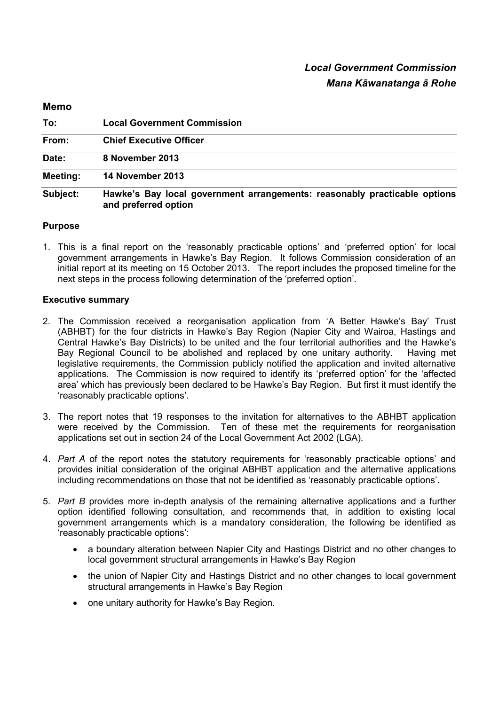# *Local Government Commission Mana Kāwanatanga ā Rohe*

| <b>IVICIIIV</b> |                                                                                                   |
|-----------------|---------------------------------------------------------------------------------------------------|
| To:             | <b>Local Government Commission</b>                                                                |
| From:           | <b>Chief Executive Officer</b>                                                                    |
| Date:           | 8 November 2013                                                                                   |
| <b>Meeting:</b> | 14 November 2013                                                                                  |
| Subject:        | Hawke's Bay local government arrangements: reasonably practicable options<br>and preferred option |

# **Purpose**

**Memo** 

1. This is a final report on the 'reasonably practicable options' and 'preferred option' for local government arrangements in Hawke's Bay Region. It follows Commission consideration of an initial report at its meeting on 15 October 2013. The report includes the proposed timeline for the next steps in the process following determination of the 'preferred option'.

# **Executive summary**

- 2. The Commission received a reorganisation application from 'A Better Hawke's Bay' Trust (ABHBT) for the four districts in Hawke's Bay Region (Napier City and Wairoa, Hastings and Central Hawke's Bay Districts) to be united and the four territorial authorities and the Hawke's Bay Regional Council to be abolished and replaced by one unitary authority. Having met legislative requirements, the Commission publicly notified the application and invited alternative applications. The Commission is now required to identify its 'preferred option' for the 'affected area' which has previously been declared to be Hawke's Bay Region. But first it must identify the 'reasonably practicable options'.
- 3. The report notes that 19 responses to the invitation for alternatives to the ABHBT application were received by the Commission. Ten of these met the requirements for reorganisation applications set out in section 24 of the Local Government Act 2002 (LGA).
- 4. *Part A* of the report notes the statutory requirements for 'reasonably practicable options' and provides initial consideration of the original ABHBT application and the alternative applications including recommendations on those that not be identified as 'reasonably practicable options'.
- <span id="page-0-0"></span>5. *Part B* provides more in-depth analysis of the remaining alternative applications and a further option identified following consultation, and recommends that, in addition to existing local government arrangements which is a mandatory consideration, the following be identified as 'reasonably practicable options':
	- a boundary alteration between Napier City and Hastings District and no other changes to local government structural arrangements in Hawke's Bay Region
	- the union of Napier City and Hastings District and no other changes to local government structural arrangements in Hawke's Bay Region
	- one unitary authority for Hawke's Bay Region.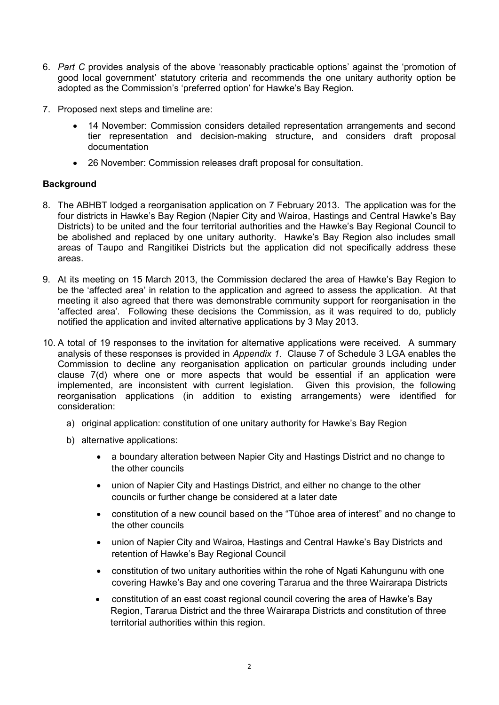- 6. *Part C* provides analysis of the above 'reasonably practicable options' against the 'promotion of good local government' statutory criteria and recommends the one unitary authority option be adopted as the Commission's 'preferred option' for Hawke's Bay Region.
- 7. Proposed next steps and timeline are:
	- 14 November: Commission considers detailed representation arrangements and second tier representation and decision-making structure, and considers draft proposal documentation
	- 26 November: Commission releases draft proposal for consultation.

# **Background**

- 8. The ABHBT lodged a reorganisation application on 7 February 2013. The application was for the four districts in Hawke's Bay Region (Napier City and Wairoa, Hastings and Central Hawke's Bay Districts) to be united and the four territorial authorities and the Hawke's Bay Regional Council to be abolished and replaced by one unitary authority. Hawke's Bay Region also includes small areas of Taupo and Rangitikei Districts but the application did not specifically address these areas.
- 9. At its meeting on 15 March 2013, the Commission declared the area of Hawke's Bay Region to be the 'affected area' in relation to the application and agreed to assess the application. At that meeting it also agreed that there was demonstrable community support for reorganisation in the 'affected area'. Following these decisions the Commission, as it was required to do, publicly notified the application and invited alternative applications by 3 May 2013.
- 10. A total of 19 responses to the invitation for alternative applications were received. A summary analysis of these responses is provided in *Appendix 1.* Clause 7 of Schedule 3 LGA enables the Commission to decline any reorganisation application on particular grounds including under clause 7(d) where one or more aspects that would be essential if an application were implemented, are inconsistent with current legislation. Given this provision, the following reorganisation applications (in addition to existing arrangements) were identified for consideration:
	- a) original application: constitution of one unitary authority for Hawke's Bay Region
	- b) alternative applications:
		- a boundary alteration between Napier City and Hastings District and no change to the other councils
		- union of Napier City and Hastings District, and either no change to the other councils or further change be considered at a later date
		- constitution of a new council based on the "Tūhoe area of interest" and no change to the other councils
		- union of Napier City and Wairoa, Hastings and Central Hawke's Bay Districts and retention of Hawke's Bay Regional Council
		- constitution of two unitary authorities within the rohe of Ngati Kahungunu with one covering Hawke's Bay and one covering Tararua and the three Wairarapa Districts
		- constitution of an east coast regional council covering the area of Hawke's Bay Region, Tararua District and the three Wairarapa Districts and constitution of three territorial authorities within this region.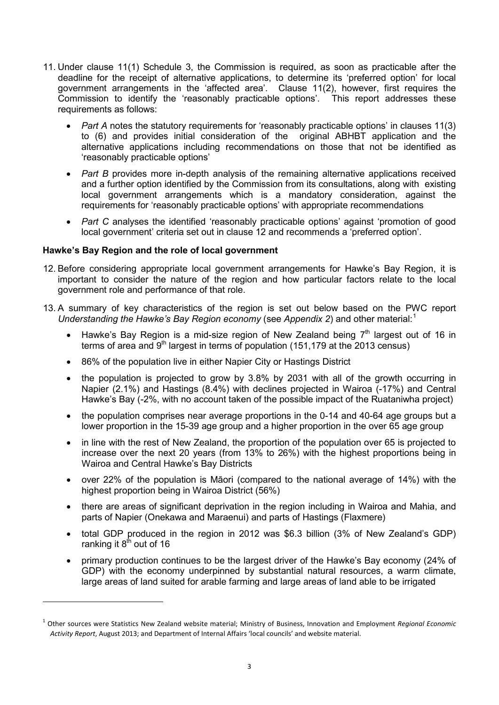- 11. Under clause 11(1) Schedule 3, the Commission is required, as soon as practicable after the deadline for the receipt of alternative applications, to determine its 'preferred option' for local government arrangements in the 'affected area'. Clause 11(2), however, first requires the Commission to identify the 'reasonably practicable options'. This report addresses these requirements as follows:
	- *Part A* notes the statutory requirements for 'reasonably practicable options' in clauses 11(3) to (6) and provides initial consideration of the original ABHBT application and the alternative applications including recommendations on those that not be identified as 'reasonably practicable options'
	- *Part B* provides more in-depth analysis of the remaining alternative applications received and a further option identified by the Commission from its consultations, along with existing local government arrangements which is a mandatory consideration, against the requirements for 'reasonably practicable options' with appropriate recommendations
	- *Part C* analyses the identified 'reasonably practicable options' against 'promotion of good local government' criteria set out in clause 12 and recommends a 'preferred option'.

### **Hawke's Bay Region and the role of local government**

**.** 

- 12. Before considering appropriate local government arrangements for Hawke's Bay Region, it is important to consider the nature of the region and how particular factors relate to the local government role and performance of that role.
- 13. A summary of key characteristics of the region is set out below based on the PWC report *Understanding the Hawke's Bay Region economy* (see *Appendix 2*) and other material: [1](#page-0-0)
	- Hawke's Bay Region is a mid-size region of New Zealand being  $7<sup>th</sup>$  largest out of 16 in terms of area and  $9<sup>th</sup>$  largest in terms of population (151,179 at the 2013 census)
	- 86% of the population live in either Napier City or Hastings District
	- the population is projected to grow by 3.8% by 2031 with all of the growth occurring in Napier (2.1%) and Hastings (8.4%) with declines projected in Wairoa (-17%) and Central Hawke's Bay (-2%, with no account taken of the possible impact of the Ruataniwha project)
	- the population comprises near average proportions in the 0-14 and 40-64 age groups but a lower proportion in the 15-39 age group and a higher proportion in the over 65 age group
	- in line with the rest of New Zealand, the proportion of the population over 65 is projected to increase over the next 20 years (from 13% to 26%) with the highest proportions being in Wairoa and Central Hawke's Bay Districts
	- over 22% of the population is Māori (compared to the national average of 14%) with the highest proportion being in Wairoa District (56%)
	- there are areas of significant deprivation in the region including in Wairoa and Mahia, and parts of Napier (Onekawa and Maraenui) and parts of Hastings (Flaxmere)
	- total GDP produced in the region in 2012 was \$6.3 billion (3% of New Zealand's GDP) ranking it  $8<sup>th</sup>$  out of 16
	- primary production continues to be the largest driver of the Hawke's Bay economy (24% of GDP) with the economy underpinned by substantial natural resources, a warm climate, large areas of land suited for arable farming and large areas of land able to be irrigated

<span id="page-2-0"></span><sup>1</sup> Other sources were Statistics New Zealand website material; Ministry of Business, Innovation and Employment *Regional Economic Activity Report*, August 2013; and Department of Internal Affairs 'local councils' and website material.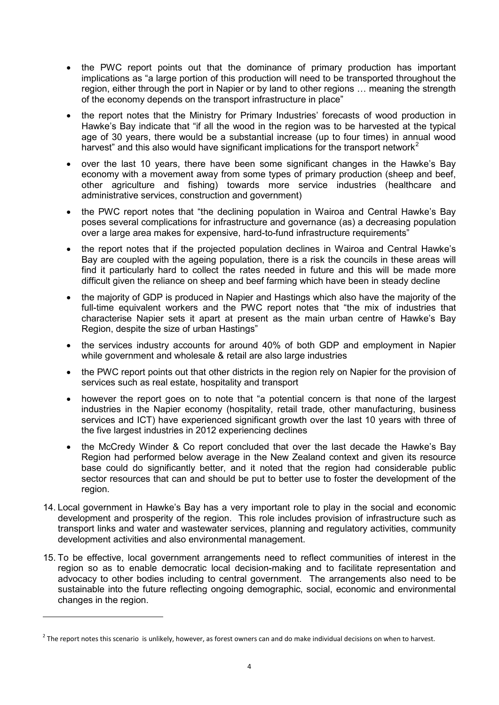- the PWC report points out that the dominance of primary production has important implications as "a large portion of this production will need to be transported throughout the region, either through the port in Napier or by land to other regions … meaning the strength of the economy depends on the transport infrastructure in place"
- the report notes that the Ministry for Primary Industries' forecasts of wood production in Hawke's Bay indicate that "if all the wood in the region was to be harvested at the typical age of 30 years, there would be a substantial increase (up to four times) in annual wood harvest" and this also would have significant implications for the transport network<sup>[2](#page-2-0)</sup>
- over the last 10 years, there have been some significant changes in the Hawke's Bay economy with a movement away from some types of primary production (sheep and beef, other agriculture and fishing) towards more service industries (healthcare and administrative services, construction and government)
- the PWC report notes that "the declining population in Wairoa and Central Hawke's Bay poses several complications for infrastructure and governance (as) a decreasing population over a large area makes for expensive, hard-to-fund infrastructure requirements"
- the report notes that if the projected population declines in Wairoa and Central Hawke's Bay are coupled with the ageing population, there is a risk the councils in these areas will find it particularly hard to collect the rates needed in future and this will be made more difficult given the reliance on sheep and beef farming which have been in steady decline
- the majority of GDP is produced in Napier and Hastings which also have the majority of the full-time equivalent workers and the PWC report notes that "the mix of industries that characterise Napier sets it apart at present as the main urban centre of Hawke's Bay Region, despite the size of urban Hastings"
- the services industry accounts for around 40% of both GDP and employment in Napier while government and wholesale & retail are also large industries
- the PWC report points out that other districts in the region rely on Napier for the provision of services such as real estate, hospitality and transport
- however the report goes on to note that "a potential concern is that none of the largest industries in the Napier economy (hospitality, retail trade, other manufacturing, business services and ICT) have experienced significant growth over the last 10 years with three of the five largest industries in 2012 experiencing declines
- the McCredy Winder & Co report concluded that over the last decade the Hawke's Bay Region had performed below average in the New Zealand context and given its resource base could do significantly better, and it noted that the region had considerable public sector resources that can and should be put to better use to foster the development of the region.
- 14. Local government in Hawke's Bay has a very important role to play in the social and economic development and prosperity of the region. This role includes provision of infrastructure such as transport links and water and wastewater services, planning and regulatory activities, community development activities and also environmental management.
- 15. To be effective, local government arrangements need to reflect communities of interest in the region so as to enable democratic local decision-making and to facilitate representation and advocacy to other bodies including to central government. The arrangements also need to be sustainable into the future reflecting ongoing demographic, social, economic and environmental changes in the region.

<span id="page-3-0"></span>**.** 

 $^2$  The report notes this scenario is unlikely, however, as forest owners can and do make individual decisions on when to harvest.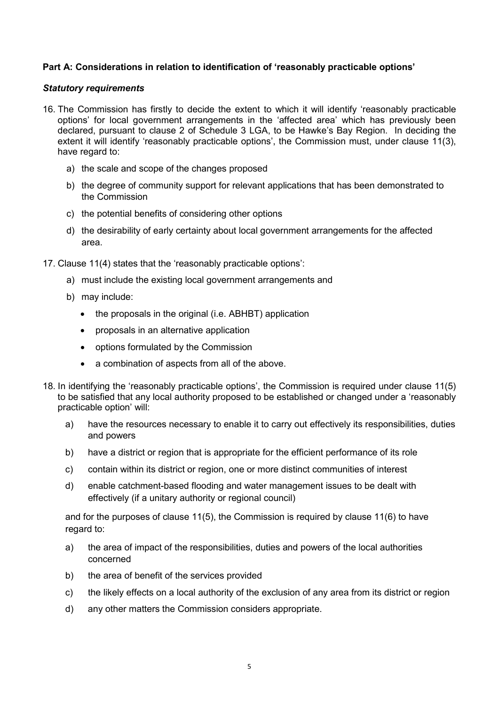# **Part A: Considerations in relation to identification of 'reasonably practicable options'**

### *Statutory requirements*

- 16. The Commission has firstly to decide the extent to which it will identify 'reasonably practicable options' for local government arrangements in the 'affected area' which has previously been declared, pursuant to clause 2 of Schedule 3 LGA, to be Hawke's Bay Region. In deciding the extent it will identify 'reasonably practicable options', the Commission must, under clause 11(3), have regard to:
	- a) the scale and scope of the changes proposed
	- b) the degree of community support for relevant applications that has been demonstrated to the Commission
	- c) the potential benefits of considering other options
	- d) the desirability of early certainty about local government arrangements for the affected area.
- 17. Clause 11(4) states that the 'reasonably practicable options':
	- a) must include the existing local government arrangements and
	- b) may include:
		- the proposals in the original (i.e. ABHBT) application
		- proposals in an alternative application
		- options formulated by the Commission
		- a combination of aspects from all of the above.
- 18. In identifying the 'reasonably practicable options', the Commission is required under clause 11(5) to be satisfied that any local authority proposed to be established or changed under a 'reasonably practicable option' will:
	- a) have the resources necessary to enable it to carry out effectively its responsibilities, duties and powers
	- b) have a district or region that is appropriate for the efficient performance of its role
	- c) contain within its district or region, one or more distinct communities of interest
	- d) enable catchment-based flooding and water management issues to be dealt with effectively (if a unitary authority or regional council)

and for the purposes of clause 11(5), the Commission is required by clause 11(6) to have regard to:

- a) the area of impact of the responsibilities, duties and powers of the local authorities concerned
- b) the area of benefit of the services provided
- c) the likely effects on a local authority of the exclusion of any area from its district or region
- d) any other matters the Commission considers appropriate.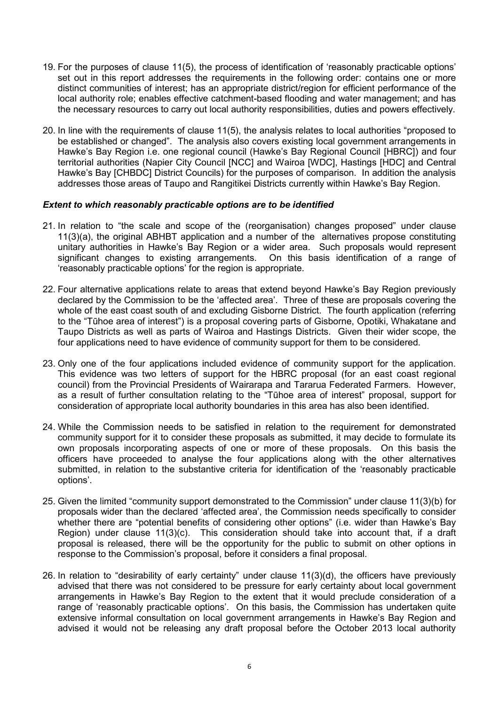- 19. For the purposes of clause 11(5), the process of identification of 'reasonably practicable options' set out in this report addresses the requirements in the following order: contains one or more distinct communities of interest; has an appropriate district/region for efficient performance of the local authority role; enables effective catchment-based flooding and water management; and has the necessary resources to carry out local authority responsibilities, duties and powers effectively.
- 20. In line with the requirements of clause 11(5), the analysis relates to local authorities "proposed to be established or changed". The analysis also covers existing local government arrangements in Hawke's Bay Region i.e. one regional council (Hawke's Bay Regional Council [HBRC]) and four territorial authorities (Napier City Council [NCC] and Wairoa [WDC], Hastings [HDC] and Central Hawke's Bay [CHBDC] District Councils) for the purposes of comparison. In addition the analysis addresses those areas of Taupo and Rangitikei Districts currently within Hawke's Bay Region.

### *Extent to which reasonably practicable options are to be identified*

- 21. In relation to "the scale and scope of the (reorganisation) changes proposed" under clause 11(3)(a), the original ABHBT application and a number of the alternatives propose constituting unitary authorities in Hawke's Bay Region or a wider area. Such proposals would represent significant changes to existing arrangements. On this basis identification of a range of 'reasonably practicable options' for the region is appropriate.
- 22. Four alternative applications relate to areas that extend beyond Hawke's Bay Region previously declared by the Commission to be the 'affected area'. Three of these are proposals covering the whole of the east coast south of and excluding Gisborne District. The fourth application (referring to the "Tūhoe area of interest") is a proposal covering parts of Gisborne, Opotiki, Whakatane and Taupo Districts as well as parts of Wairoa and Hastings Districts. Given their wider scope, the four applications need to have evidence of community support for them to be considered.
- 23. Only one of the four applications included evidence of community support for the application. This evidence was two letters of support for the HBRC proposal (for an east coast regional council) from the Provincial Presidents of Wairarapa and Tararua Federated Farmers. However, as a result of further consultation relating to the "Tūhoe area of interest" proposal, support for consideration of appropriate local authority boundaries in this area has also been identified.
- 24. While the Commission needs to be satisfied in relation to the requirement for demonstrated community support for it to consider these proposals as submitted, it may decide to formulate its own proposals incorporating aspects of one or more of these proposals. On this basis the officers have proceeded to analyse the four applications along with the other alternatives submitted, in relation to the substantive criteria for identification of the 'reasonably practicable options'.
- 25. Given the limited "community support demonstrated to the Commission" under clause 11(3)(b) for proposals wider than the declared 'affected area', the Commission needs specifically to consider whether there are "potential benefits of considering other options" (i.e. wider than Hawke's Bay Region) under clause 11(3)(c). This consideration should take into account that, if a draft proposal is released, there will be the opportunity for the public to submit on other options in response to the Commission's proposal, before it considers a final proposal.
- 26. In relation to "desirability of early certainty" under clause 11(3)(d), the officers have previously advised that there was not considered to be pressure for early certainty about local government arrangements in Hawke's Bay Region to the extent that it would preclude consideration of a range of 'reasonably practicable options'. On this basis, the Commission has undertaken quite extensive informal consultation on local government arrangements in Hawke's Bay Region and advised it would not be releasing any draft proposal before the October 2013 local authority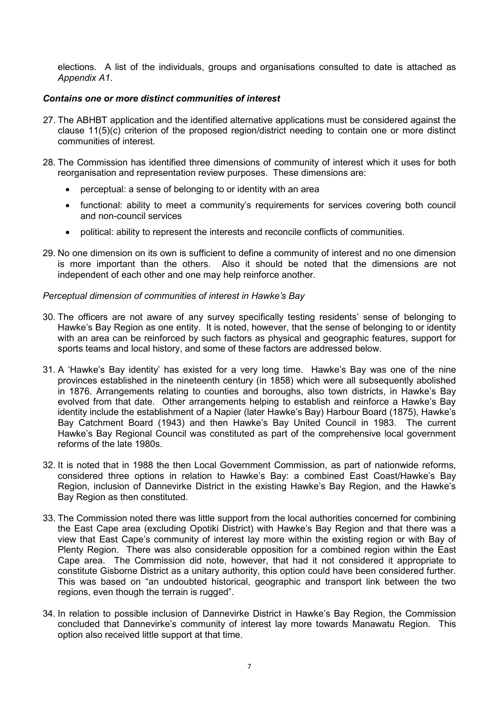elections. A list of the individuals, groups and organisations consulted to date is attached as *Appendix A1*.

# *Contains one or more distinct communities of interest*

- 27. The ABHBT application and the identified alternative applications must be considered against the clause 11(5)(c) criterion of the proposed region/district needing to contain one or more distinct communities of interest.
- 28. The Commission has identified three dimensions of community of interest which it uses for both reorganisation and representation review purposes. These dimensions are:
	- perceptual: a sense of belonging to or identity with an area
	- functional: ability to meet a community's requirements for services covering both council and non-council services
	- political: ability to represent the interests and reconcile conflicts of communities.
- 29. No one dimension on its own is sufficient to define a community of interest and no one dimension is more important than the others. Also it should be noted that the dimensions are not independent of each other and one may help reinforce another.

### *Perceptual dimension of communities of interest in Hawke's Bay*

- 30. The officers are not aware of any survey specifically testing residents' sense of belonging to Hawke's Bay Region as one entity. It is noted, however, that the sense of belonging to or identity with an area can be reinforced by such factors as physical and geographic features, support for sports teams and local history, and some of these factors are addressed below.
- 31. A 'Hawke's Bay identity' has existed for a very long time. Hawke's Bay was one of the nine provinces established in the nineteenth century (in 1858) which were all subsequently abolished in 1876. Arrangements relating to counties and boroughs, also town districts, in Hawke's Bay evolved from that date. Other arrangements helping to establish and reinforce a Hawke's Bay identity include the establishment of a Napier (later Hawke's Bay) Harbour Board (1875), Hawke's Bay Catchment Board (1943) and then Hawke's Bay United Council in 1983. The current Hawke's Bay Regional Council was constituted as part of the comprehensive local government reforms of the late 1980s.
- 32. It is noted that in 1988 the then Local Government Commission, as part of nationwide reforms, considered three options in relation to Hawke's Bay: a combined East Coast/Hawke's Bay Region, inclusion of Dannevirke District in the existing Hawke's Bay Region, and the Hawke's Bay Region as then constituted.
- 33. The Commission noted there was little support from the local authorities concerned for combining the East Cape area (excluding Opotiki District) with Hawke's Bay Region and that there was a view that East Cape's community of interest lay more within the existing region or with Bay of Plenty Region. There was also considerable opposition for a combined region within the East Cape area. The Commission did note, however, that had it not considered it appropriate to constitute Gisborne District as a unitary authority, this option could have been considered further. This was based on "an undoubted historical, geographic and transport link between the two regions, even though the terrain is rugged".
- 34. In relation to possible inclusion of Dannevirke District in Hawke's Bay Region, the Commission concluded that Dannevirke's community of interest lay more towards Manawatu Region. This option also received little support at that time.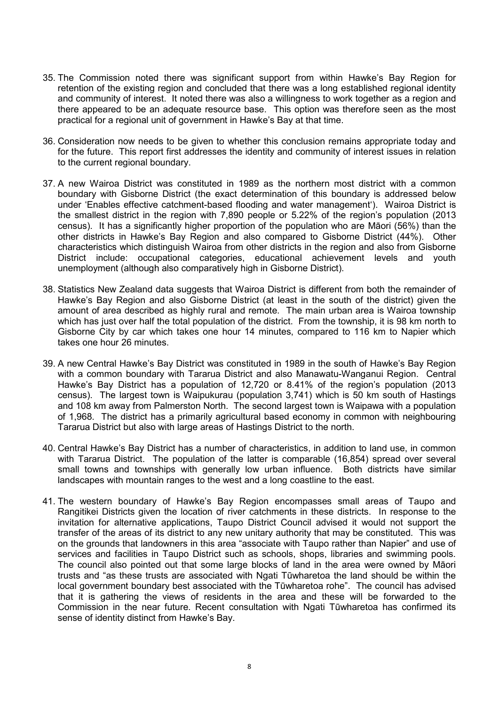- 35. The Commission noted there was significant support from within Hawke's Bay Region for retention of the existing region and concluded that there was a long established regional identity and community of interest. It noted there was also a willingness to work together as a region and there appeared to be an adequate resource base. This option was therefore seen as the most practical for a regional unit of government in Hawke's Bay at that time.
- 36. Consideration now needs to be given to whether this conclusion remains appropriate today and for the future. This report first addresses the identity and community of interest issues in relation to the current regional boundary.
- 37. A new Wairoa District was constituted in 1989 as the northern most district with a common boundary with Gisborne District (the exact determination of this boundary is addressed below under 'Enables effective catchment-based flooding and water management'). Wairoa District is the smallest district in the region with 7,890 people or 5.22% of the region's population (2013 census). It has a significantly higher proportion of the population who are Māori (56%) than the other districts in Hawke's Bay Region and also compared to Gisborne District (44%). Other characteristics which distinguish Wairoa from other districts in the region and also from Gisborne District include: occupational categories, educational achievement levels and youth unemployment (although also comparatively high in Gisborne District).
- 38. Statistics New Zealand data suggests that Wairoa District is different from both the remainder of Hawke's Bay Region and also Gisborne District (at least in the south of the district) given the amount of area described as highly rural and remote. The main urban area is Wairoa township which has just over half the total population of the district. From the township, it is 98 km north to Gisborne City by car which takes one hour 14 minutes, compared to 116 km to Napier which takes one hour 26 minutes.
- 39. A new Central Hawke's Bay District was constituted in 1989 in the south of Hawke's Bay Region with a common boundary with Tararua District and also Manawatu-Wanganui Region. Central Hawke's Bay District has a population of 12,720 or 8.41% of the region's population (2013 census). The largest town is Waipukurau (population 3,741) which is 50 km south of Hastings and 108 km away from Palmerston North. The second largest town is Waipawa with a population of 1,968. The district has a primarily agricultural based economy in common with neighbouring Tararua District but also with large areas of Hastings District to the north.
- 40. Central Hawke's Bay District has a number of characteristics, in addition to land use, in common with Tararua District. The population of the latter is comparable (16,854) spread over several small towns and townships with generally low urban influence. Both districts have similar landscapes with mountain ranges to the west and a long coastline to the east.
- 41. The western boundary of Hawke's Bay Region encompasses small areas of Taupo and Rangitikei Districts given the location of river catchments in these districts. In response to the invitation for alternative applications, Taupo District Council advised it would not support the transfer of the areas of its district to any new unitary authority that may be constituted. This was on the grounds that landowners in this area "associate with Taupo rather than Napier" and use of services and facilities in Taupo District such as schools, shops, libraries and swimming pools. The council also pointed out that some large blocks of land in the area were owned by Māori trusts and "as these trusts are associated with Ngati Tūwharetoa the land should be within the local government boundary best associated with the Tūwharetoa rohe". The council has advised that it is gathering the views of residents in the area and these will be forwarded to the Commission in the near future. Recent consultation with Ngati Tūwharetoa has confirmed its sense of identity distinct from Hawke's Bay.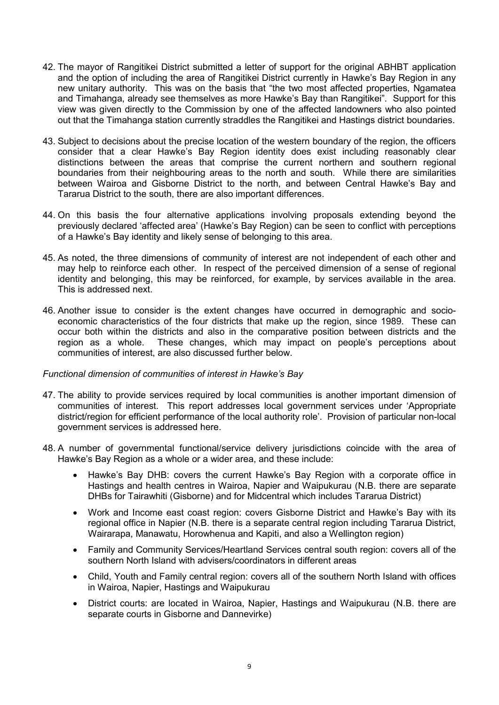- 42. The mayor of Rangitikei District submitted a letter of support for the original ABHBT application and the option of including the area of Rangitikei District currently in Hawke's Bay Region in any new unitary authority. This was on the basis that "the two most affected properties, Ngamatea and Timahanga, already see themselves as more Hawke's Bay than Rangitikei". Support for this view was given directly to the Commission by one of the affected landowners who also pointed out that the Timahanga station currently straddles the Rangitikei and Hastings district boundaries.
- 43. Subject to decisions about the precise location of the western boundary of the region, the officers consider that a clear Hawke's Bay Region identity does exist including reasonably clear distinctions between the areas that comprise the current northern and southern regional boundaries from their neighbouring areas to the north and south. While there are similarities between Wairoa and Gisborne District to the north, and between Central Hawke's Bay and Tararua District to the south, there are also important differences.
- 44. On this basis the four alternative applications involving proposals extending beyond the previously declared 'affected area' (Hawke's Bay Region) can be seen to conflict with perceptions of a Hawke's Bay identity and likely sense of belonging to this area.
- 45. As noted, the three dimensions of community of interest are not independent of each other and may help to reinforce each other. In respect of the perceived dimension of a sense of regional identity and belonging, this may be reinforced, for example, by services available in the area. This is addressed next.
- 46. Another issue to consider is the extent changes have occurred in demographic and socioeconomic characteristics of the four districts that make up the region, since 1989. These can occur both within the districts and also in the comparative position between districts and the region as a whole. These changes, which may impact on people's perceptions about communities of interest, are also discussed further below.

# *Functional dimension of communities of interest in Hawke's Bay*

- 47. The ability to provide services required by local communities is another important dimension of communities of interest. This report addresses local government services under 'Appropriate district/region for efficient performance of the local authority role'. Provision of particular non-local government services is addressed here.
- 48. A number of governmental functional/service delivery jurisdictions coincide with the area of Hawke's Bay Region as a whole or a wider area, and these include:
	- Hawke's Bay DHB: covers the current Hawke's Bay Region with a corporate office in Hastings and health centres in Wairoa, Napier and Waipukurau (N.B. there are separate DHBs for Tairawhiti (Gisborne) and for Midcentral which includes Tararua District)
	- Work and Income east coast region: covers Gisborne District and Hawke's Bay with its regional office in Napier (N.B. there is a separate central region including Tararua District, Wairarapa, Manawatu, Horowhenua and Kapiti, and also a Wellington region)
	- Family and Community Services/Heartland Services central south region: covers all of the southern North Island with advisers/coordinators in different areas
	- Child, Youth and Family central region: covers all of the southern North Island with offices in Wairoa, Napier, Hastings and Waipukurau
	- District courts: are located in Wairoa, Napier, Hastings and Waipukurau (N.B. there are separate courts in Gisborne and Dannevirke)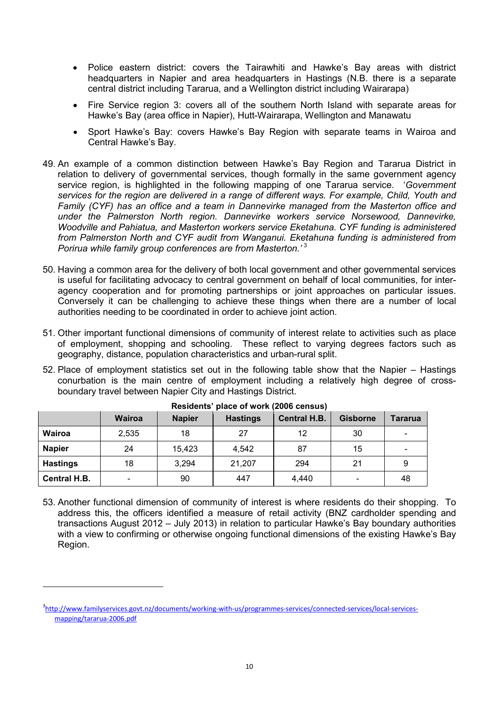- Police eastern district: covers the Tairawhiti and Hawke's Bay areas with district headquarters in Napier and area headquarters in Hastings (N.B. there is a separate central district including Tararua, and a Wellington district including Wairarapa)
- Fire Service region 3: covers all of the southern North Island with separate areas for Hawke's Bay (area office in Napier), Hutt-Wairarapa, Wellington and Manawatu
- Sport Hawke's Bay: covers Hawke's Bay Region with separate teams in Wairoa and Central Hawke's Bay.
- 49. An example of a common distinction between Hawke's Bay Region and Tararua District in relation to delivery of governmental services, though formally in the same government agency service region, is highlighted in the following mapping of one Tararua service. '*Government services for the region are delivered in a range of different ways. For example, Child, Youth and Family (CYF) has an office and a team in Dannevirke managed from the Masterton office and under the Palmerston North region. Dannevirke workers service Norsewood, Dannevirke, Woodville and Pahiatua, and Masterton workers service Eketahuna. CYF funding is administered from Palmerston North and CYF audit from Wanganui. Eketahuna funding is administered from Porirua while family group conferences are from Masterton.'* [3](#page-3-0)
- 50. Having a common area for the delivery of both local government and other governmental services is useful for facilitating advocacy to central government on behalf of local communities, for interagency cooperation and for promoting partnerships or joint approaches on particular issues. Conversely it can be challenging to achieve these things when there are a number of local authorities needing to be coordinated in order to achieve joint action.
- 51. Other important functional dimensions of community of interest relate to activities such as place of employment, shopping and schooling. These reflect to varying degrees factors such as geography, distance, population characteristics and urban-rural split.
- 52. Place of employment statistics set out in the following table show that the Napier Hastings conurbation is the main centre of employment including a relatively high degree of crossboundary travel between Napier City and Hastings District.

|                     | <b>Wairoa</b> | <b>Napier</b> | <b>Hastings</b> | <b>Central H.B.</b> | <b>Gisborne</b>          | <b>Tararua</b>  |
|---------------------|---------------|---------------|-----------------|---------------------|--------------------------|-----------------|
| Wairoa              | 2,535         | 18            | 27              | 12                  | 30                       | $\qquad \qquad$ |
| <b>Napier</b>       | 24            | 15,423        | 4,542           | 87                  | 15                       | -               |
| <b>Hastings</b>     | 18            | 3,294         | 21,207          | 294                 | 21                       | 9               |
| <b>Central H.B.</b> | -             | 90            | 447             | 4,440               | $\overline{\phantom{0}}$ | 48              |

# **Residents' place of work (2006 census)**

53. Another functional dimension of community of interest is where residents do their shopping. To address this, the officers identified a measure of retail activity (BNZ cardholder spending and transactions August 2012 – July 2013) in relation to particular Hawke's Bay boundary authorities with a view to confirming or otherwise ongoing functional dimensions of the existing Hawke's Bay Region.

**.** 

<span id="page-9-0"></span><sup>&</sup>lt;sup>3</sup>[http://www.familyservices.govt.nz/documents/working-with-us/programmes-services/connected-services/local-services](http://www.familyservices.govt.nz/documents/working-with-us/programmes-services/connected-services/local-services-mapping/tararua-2006.pdf)[mapping/tararua-2006.pdf](http://www.familyservices.govt.nz/documents/working-with-us/programmes-services/connected-services/local-services-mapping/tararua-2006.pdf)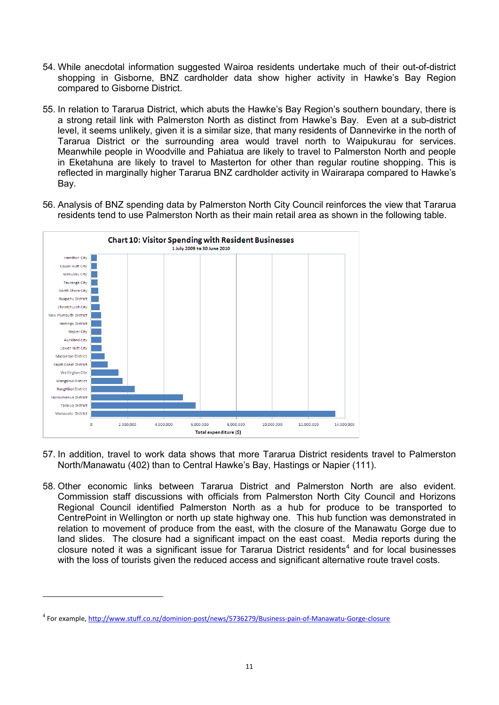- 54. While anecdotal information suggested Wairoa residents undertake much of their out-of-district shopping in Gisborne, BNZ cardholder data show higher activity in Hawke's Bay Region compared to Gisborne District.
- 55. In relation to Tararua District, which abuts the Hawke's Bay Region's southern boundary, there is a strong retail link with Palmerston North as distinct from Hawke's Bay. Even at a sub-district level, it seems unlikely, given it is a similar size, that many residents of Dannevirke in the north of Tararua District or the surrounding area would travel north to Waipukurau for services. Meanwhile people in Woodville and Pahiatua are likely to travel to Palmerston North and people in Eketahuna are likely to travel to Masterton for other than regular routine shopping. This is reflected in marginally higher Tararua BNZ cardholder activity in Wairarapa compared to Hawke's Bay.
- 56. Analysis of BNZ spending data by Palmerston North City Council reinforces the view that Tararua residents tend to use Palmerston North as their main retail area as shown in the following table.



- 57. In addition, travel to work data shows that more Tararua District residents travel to Palmerston North/Manawatu (402) than to Central Hawke's Bay, Hastings or Napier (111).
- 58. Other economic links between Tararua District and Palmerston North are also evident. Commission staff discussions with officials from Palmerston North City Council and Horizons Regional Council identified Palmerston North as a hub for produce to be transported to CentrePoint in Wellington or north up state highway one. This hub function was demonstrated in relation to movement of produce from the east, with the closure of the Manawatu Gorge due to land slides. The closure had a significant impact on the east coast. Media reports during the closure noted it was a significant issue for Tararua District residents<sup>[4](#page-9-0)</sup> and for local businesses with the loss of tourists given the reduced access and significant alternative route travel costs.

**.** 

<span id="page-10-0"></span><sup>4</sup> For example[, http://www.stuff.co.nz/dominion-post/news/5736279/Business-pain-of-Manawatu-Gorge-closure](http://www.stuff.co.nz/dominion-post/news/5736279/Business-pain-of-Manawatu-Gorge-closure)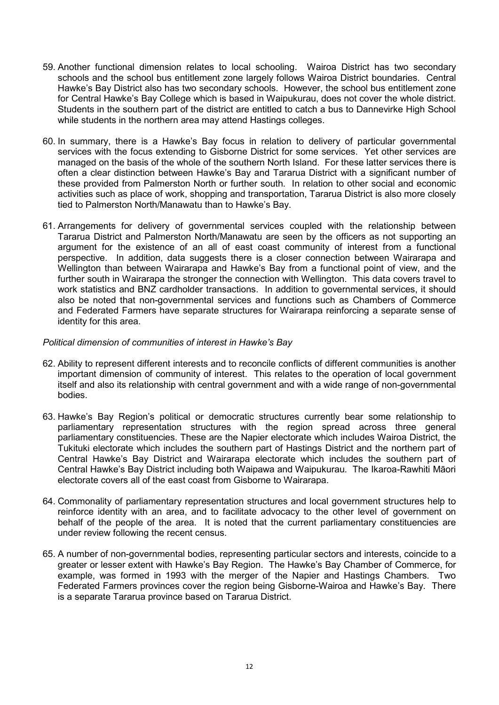- 59. Another functional dimension relates to local schooling. Wairoa District has two secondary schools and the school bus entitlement zone largely follows Wairoa District boundaries. Central Hawke's Bay District also has two secondary schools. However, the school bus entitlement zone for Central Hawke's Bay College which is based in Waipukurau, does not cover the whole district. Students in the southern part of the district are entitled to catch a bus to Dannevirke High School while students in the northern area may attend Hastings colleges.
- 60. In summary, there is a Hawke's Bay focus in relation to delivery of particular governmental services with the focus extending to Gisborne District for some services. Yet other services are managed on the basis of the whole of the southern North Island. For these latter services there is often a clear distinction between Hawke's Bay and Tararua District with a significant number of these provided from Palmerston North or further south. In relation to other social and economic activities such as place of work, shopping and transportation, Tararua District is also more closely tied to Palmerston North/Manawatu than to Hawke's Bay.
- 61. Arrangements for delivery of governmental services coupled with the relationship between Tararua District and Palmerston North/Manawatu are seen by the officers as not supporting an argument for the existence of an all of east coast community of interest from a functional perspective. In addition, data suggests there is a closer connection between Wairarapa and Wellington than between Wairarapa and Hawke's Bay from a functional point of view, and the further south in Wairarapa the stronger the connection with Wellington. This data covers travel to work statistics and BNZ cardholder transactions. In addition to governmental services, it should also be noted that non-governmental services and functions such as Chambers of Commerce and Federated Farmers have separate structures for Wairarapa reinforcing a separate sense of identity for this area.

# *Political dimension of communities of interest in Hawke's Bay*

- 62. Ability to represent different interests and to reconcile conflicts of different communities is another important dimension of community of interest. This relates to the operation of local government itself and also its relationship with central government and with a wide range of non-governmental bodies.
- 63. Hawke's Bay Region's political or democratic structures currently bear some relationship to parliamentary representation structures with the region spread across three general parliamentary constituencies. These are the Napier electorate which includes Wairoa District, the Tukituki electorate which includes the southern part of Hastings District and the northern part of Central Hawke's Bay District and Wairarapa electorate which includes the southern part of Central Hawke's Bay District including both Waipawa and Waipukurau. The Ikaroa-Rawhiti Māori electorate covers all of the east coast from Gisborne to Wairarapa.
- 64. Commonality of parliamentary representation structures and local government structures help to reinforce identity with an area, and to facilitate advocacy to the other level of government on behalf of the people of the area. It is noted that the current parliamentary constituencies are under review following the recent census.
- 65. A number of non-governmental bodies, representing particular sectors and interests, coincide to a greater or lesser extent with Hawke's Bay Region. The Hawke's Bay Chamber of Commerce, for example, was formed in 1993 with the merger of the Napier and Hastings Chambers. Two Federated Farmers provinces cover the region being Gisborne-Wairoa and Hawke's Bay. There is a separate Tararua province based on Tararua District.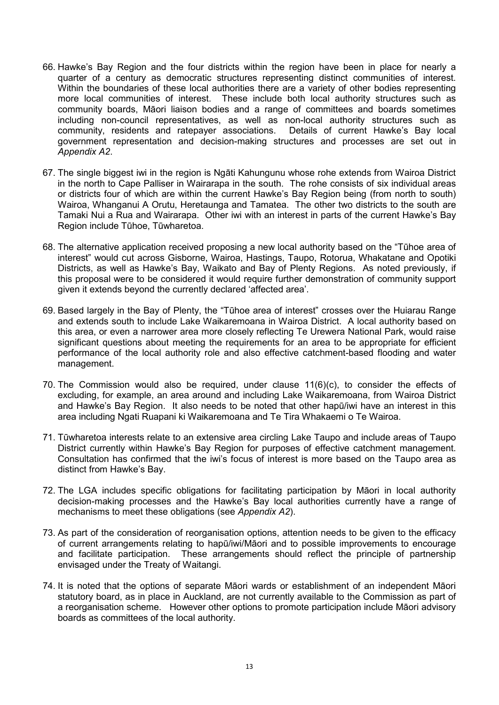- 66. Hawke's Bay Region and the four districts within the region have been in place for nearly a quarter of a century as democratic structures representing distinct communities of interest. Within the boundaries of these local authorities there are a variety of other bodies representing more local communities of interest. These include both local authority structures such as community boards, Māori liaison bodies and a range of committees and boards sometimes including non-council representatives, as well as non-local authority structures such as community, residents and ratepayer associations. Details of current Hawke's Bay local government representation and decision-making structures and processes are set out in *Appendix A2*.
- 67. The single biggest iwi in the region is Ngāti Kahungunu whose rohe extends from Wairoa District in the north to Cape Palliser in Wairarapa in the south. The rohe consists of six individual areas or districts four of which are within the current Hawke's Bay Region being (from north to south) Wairoa, Whanganui A Orutu, Heretaunga and Tamatea. The other two districts to the south are Tamaki Nui a Rua and Wairarapa. Other iwi with an interest in parts of the current Hawke's Bay Region include Tūhoe, Tūwharetoa.
- 68. The alternative application received proposing a new local authority based on the "Tūhoe area of interest" would cut across Gisborne, Wairoa, Hastings, Taupo, Rotorua, Whakatane and Opotiki Districts, as well as Hawke's Bay, Waikato and Bay of Plenty Regions. As noted previously, if this proposal were to be considered it would require further demonstration of community support given it extends beyond the currently declared 'affected area'.
- 69. Based largely in the Bay of Plenty, the "Tūhoe area of interest" crosses over the Huiarau Range and extends south to include Lake Waikaremoana in Wairoa District. A local authority based on this area, or even a narrower area more closely reflecting Te Urewera National Park, would raise significant questions about meeting the requirements for an area to be appropriate for efficient performance of the local authority role and also effective catchment-based flooding and water management.
- 70. The Commission would also be required, under clause 11(6)(c), to consider the effects of excluding, for example, an area around and including Lake Waikaremoana, from Wairoa District and Hawke's Bay Region. It also needs to be noted that other hapū/iwi have an interest in this area including Ngati Ruapani ki Waikaremoana and Te Tira Whakaemi o Te Wairoa.
- 71. Tūwharetoa interests relate to an extensive area circling Lake Taupo and include areas of Taupo District currently within Hawke's Bay Region for purposes of effective catchment management. Consultation has confirmed that the iwi's focus of interest is more based on the Taupo area as distinct from Hawke's Bay.
- 72. The LGA includes specific obligations for facilitating participation by Māori in local authority decision-making processes and the Hawke's Bay local authorities currently have a range of mechanisms to meet these obligations (see *Appendix A2*).
- 73. As part of the consideration of reorganisation options, attention needs to be given to the efficacy of current arrangements relating to hapū/iwi/Māori and to possible improvements to encourage and facilitate participation. These arrangements should reflect the principle of partnership envisaged under the Treaty of Waitangi.
- 74. It is noted that the options of separate Māori wards or establishment of an independent Māori statutory board, as in place in Auckland, are not currently available to the Commission as part of a reorganisation scheme. However other options to promote participation include Māori advisory boards as committees of the local authority.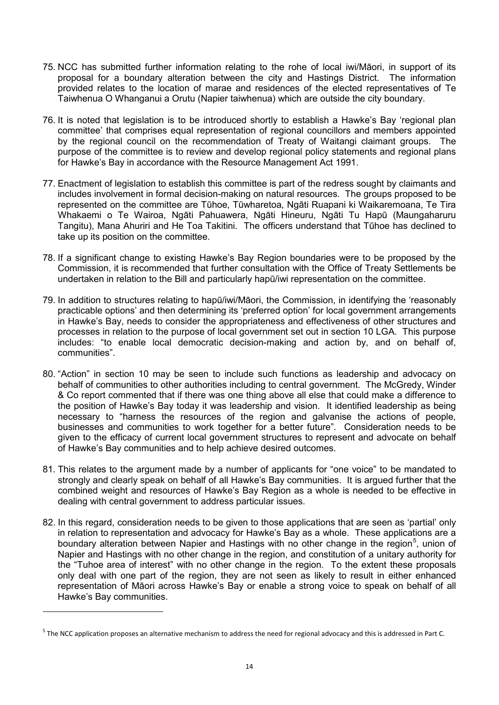- 75. NCC has submitted further information relating to the rohe of local iwi/Māori, in support of its proposal for a boundary alteration between the city and Hastings District. The information provided relates to the location of marae and residences of the elected representatives of Te Taiwhenua O Whanganui a Orutu (Napier taiwhenua) which are outside the city boundary.
- 76. It is noted that legislation is to be introduced shortly to establish a Hawke's Bay 'regional plan committee' that comprises equal representation of regional councillors and members appointed by the regional council on the recommendation of Treaty of Waitangi claimant groups. The purpose of the committee is to review and develop regional policy statements and regional plans for Hawke's Bay in accordance with the Resource Management Act 1991.
- 77. Enactment of legislation to establish this committee is part of the redress sought by claimants and includes involvement in formal decision-making on natural resources. The groups proposed to be represented on the committee are Tūhoe, Tūwharetoa, Ngāti Ruapani ki Waikaremoana, Te Tira Whakaemi o Te Wairoa, Ngāti Pahuawera, Ngāti Hineuru, Ngāti Tu Hapū (Maungaharuru Tangitu), Mana Ahuriri and He Toa Takitini. The officers understand that Tūhoe has declined to take up its position on the committee.
- 78. If a significant change to existing Hawke's Bay Region boundaries were to be proposed by the Commission, it is recommended that further consultation with the Office of Treaty Settlements be undertaken in relation to the Bill and particularly hapū/iwi representation on the committee.
- 79. In addition to structures relating to hapū/iwi/Māori, the Commission, in identifying the 'reasonably practicable options' and then determining its 'preferred option' for local government arrangements in Hawke's Bay, needs to consider the appropriateness and effectiveness of other structures and processes in relation to the purpose of local government set out in section 10 LGA. This purpose includes: "to enable local democratic decision-making and action by, and on behalf of, communities".
- 80. "Action" in section 10 may be seen to include such functions as leadership and advocacy on behalf of communities to other authorities including to central government. The McGredy, Winder & Co report commented that if there was one thing above all else that could make a difference to the position of Hawke's Bay today it was leadership and vision. It identified leadership as being necessary to "harness the resources of the region and galvanise the actions of people, businesses and communities to work together for a better future". Consideration needs to be given to the efficacy of current local government structures to represent and advocate on behalf of Hawke's Bay communities and to help achieve desired outcomes.
- 81. This relates to the argument made by a number of applicants for "one voice" to be mandated to strongly and clearly speak on behalf of all Hawke's Bay communities. It is argued further that the combined weight and resources of Hawke's Bay Region as a whole is needed to be effective in dealing with central government to address particular issues.
- 82. In this regard, consideration needs to be given to those applications that are seen as 'partial' only in relation to representation and advocacy for Hawke's Bay as a whole. These applications are a boundary alteration between Napier and Hastings with no other change in the region<sup>[5](#page-10-0)</sup>, union of Napier and Hastings with no other change in the region, and constitution of a unitary authority for the "Tuhoe area of interest" with no other change in the region. To the extent these proposals only deal with one part of the region, they are not seen as likely to result in either enhanced representation of Māori across Hawke's Bay or enable a strong voice to speak on behalf of all Hawke's Bay communities.

**.** 

<span id="page-13-0"></span> $5$  The NCC application proposes an alternative mechanism to address the need for regional advocacy and this is addressed in Part C.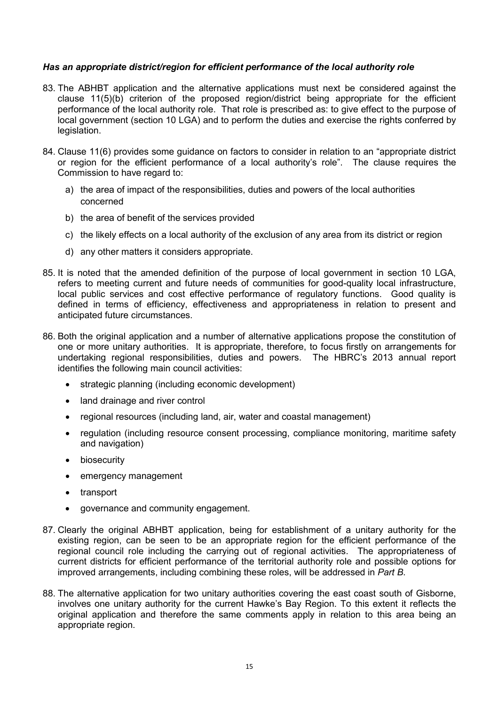# *Has an appropriate district/region for efficient performance of the local authority role*

- 83. The ABHBT application and the alternative applications must next be considered against the clause 11(5)(b) criterion of the proposed region/district being appropriate for the efficient performance of the local authority role. That role is prescribed as: to give effect to the purpose of local government (section 10 LGA) and to perform the duties and exercise the rights conferred by legislation.
- 84. Clause 11(6) provides some guidance on factors to consider in relation to an "appropriate district or region for the efficient performance of a local authority's role". The clause requires the Commission to have regard to:
	- a) the area of impact of the responsibilities, duties and powers of the local authorities concerned
	- b) the area of benefit of the services provided
	- c) the likely effects on a local authority of the exclusion of any area from its district or region
	- d) any other matters it considers appropriate.
- 85. It is noted that the amended definition of the purpose of local government in section 10 LGA, refers to meeting current and future needs of communities for good-quality local infrastructure, local public services and cost effective performance of regulatory functions. Good quality is defined in terms of efficiency, effectiveness and appropriateness in relation to present and anticipated future circumstances.
- 86. Both the original application and a number of alternative applications propose the constitution of one or more unitary authorities. It is appropriate, therefore, to focus firstly on arrangements for undertaking regional responsibilities, duties and powers. The HBRC's 2013 annual report identifies the following main council activities:
	- strategic planning (including economic development)
	- land drainage and river control
	- regional resources (including land, air, water and coastal management)
	- regulation (including resource consent processing, compliance monitoring, maritime safety and navigation)
	- **biosecurity**
	- emergency management
	- transport
	- governance and community engagement.
- 87. Clearly the original ABHBT application, being for establishment of a unitary authority for the existing region, can be seen to be an appropriate region for the efficient performance of the regional council role including the carrying out of regional activities. The appropriateness of current districts for efficient performance of the territorial authority role and possible options for improved arrangements, including combining these roles, will be addressed in *Part B*.
- 88. The alternative application for two unitary authorities covering the east coast south of Gisborne, involves one unitary authority for the current Hawke's Bay Region. To this extent it reflects the original application and therefore the same comments apply in relation to this area being an appropriate region.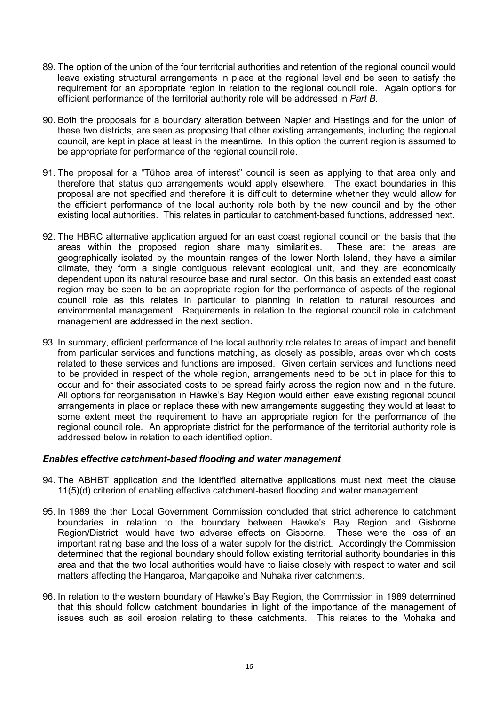- 89. The option of the union of the four territorial authorities and retention of the regional council would leave existing structural arrangements in place at the regional level and be seen to satisfy the requirement for an appropriate region in relation to the regional council role. Again options for efficient performance of the territorial authority role will be addressed in *Part B*.
- 90. Both the proposals for a boundary alteration between Napier and Hastings and for the union of these two districts, are seen as proposing that other existing arrangements, including the regional council, are kept in place at least in the meantime. In this option the current region is assumed to be appropriate for performance of the regional council role.
- 91. The proposal for a "Tūhoe area of interest" council is seen as applying to that area only and therefore that status quo arrangements would apply elsewhere. The exact boundaries in this proposal are not specified and therefore it is difficult to determine whether they would allow for the efficient performance of the local authority role both by the new council and by the other existing local authorities. This relates in particular to catchment-based functions, addressed next.
- 92. The HBRC alternative application argued for an east coast regional council on the basis that the areas within the proposed region share many similarities. These are: the areas are geographically isolated by the mountain ranges of the lower North Island, they have a similar climate, they form a single contiguous relevant ecological unit, and they are economically dependent upon its natural resource base and rural sector. On this basis an extended east coast region may be seen to be an appropriate region for the performance of aspects of the regional council role as this relates in particular to planning in relation to natural resources and environmental management. Requirements in relation to the regional council role in catchment management are addressed in the next section.
- 93. In summary, efficient performance of the local authority role relates to areas of impact and benefit from particular services and functions matching, as closely as possible, areas over which costs related to these services and functions are imposed. Given certain services and functions need to be provided in respect of the whole region, arrangements need to be put in place for this to occur and for their associated costs to be spread fairly across the region now and in the future. All options for reorganisation in Hawke's Bay Region would either leave existing regional council arrangements in place or replace these with new arrangements suggesting they would at least to some extent meet the requirement to have an appropriate region for the performance of the regional council role. An appropriate district for the performance of the territorial authority role is addressed below in relation to each identified option.

# *Enables effective catchment-based flooding and water management*

- 94. The ABHBT application and the identified alternative applications must next meet the clause 11(5)(d) criterion of enabling effective catchment-based flooding and water management.
- 95. In 1989 the then Local Government Commission concluded that strict adherence to catchment boundaries in relation to the boundary between Hawke's Bay Region and Gisborne Region/District, would have two adverse effects on Gisborne. These were the loss of an important rating base and the loss of a water supply for the district. Accordingly the Commission determined that the regional boundary should follow existing territorial authority boundaries in this area and that the two local authorities would have to liaise closely with respect to water and soil matters affecting the Hangaroa, Mangapoike and Nuhaka river catchments.
- 96. In relation to the western boundary of Hawke's Bay Region, the Commission in 1989 determined that this should follow catchment boundaries in light of the importance of the management of issues such as soil erosion relating to these catchments. This relates to the Mohaka and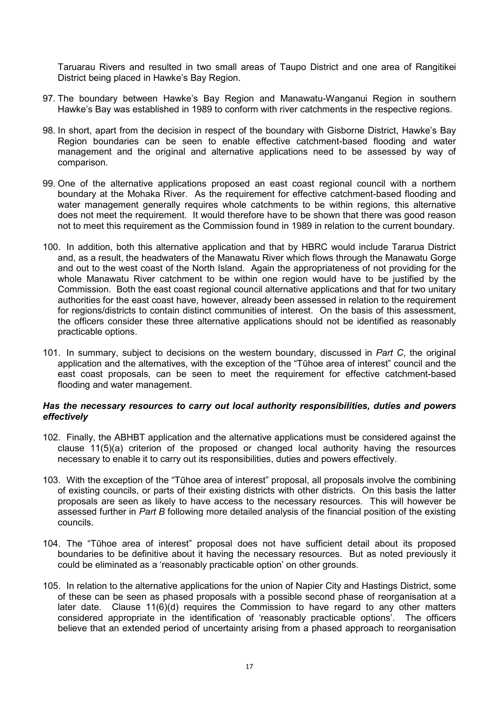Taruarau Rivers and resulted in two small areas of Taupo District and one area of Rangitikei District being placed in Hawke's Bay Region.

- 97. The boundary between Hawke's Bay Region and Manawatu-Wanganui Region in southern Hawke's Bay was established in 1989 to conform with river catchments in the respective regions.
- 98. In short, apart from the decision in respect of the boundary with Gisborne District, Hawke's Bay Region boundaries can be seen to enable effective catchment-based flooding and water management and the original and alternative applications need to be assessed by way of comparison.
- 99. One of the alternative applications proposed an east coast regional council with a northern boundary at the Mohaka River. As the requirement for effective catchment-based flooding and water management generally requires whole catchments to be within regions, this alternative does not meet the requirement. It would therefore have to be shown that there was good reason not to meet this requirement as the Commission found in 1989 in relation to the current boundary.
- 100. In addition, both this alternative application and that by HBRC would include Tararua District and, as a result, the headwaters of the Manawatu River which flows through the Manawatu Gorge and out to the west coast of the North Island. Again the appropriateness of not providing for the whole Manawatu River catchment to be within one region would have to be justified by the Commission. Both the east coast regional council alternative applications and that for two unitary authorities for the east coast have, however, already been assessed in relation to the requirement for regions/districts to contain distinct communities of interest. On the basis of this assessment, the officers consider these three alternative applications should not be identified as reasonably practicable options.
- 101. In summary, subject to decisions on the western boundary, discussed in *Part C*, the original application and the alternatives, with the exception of the "Tūhoe area of interest" council and the east coast proposals, can be seen to meet the requirement for effective catchment-based flooding and water management.

### *Has the necessary resources to carry out local authority responsibilities, duties and powers effectively*

- 102. Finally, the ABHBT application and the alternative applications must be considered against the clause 11(5)(a) criterion of the proposed or changed local authority having the resources necessary to enable it to carry out its responsibilities, duties and powers effectively.
- 103. With the exception of the "Tūhoe area of interest" proposal, all proposals involve the combining of existing councils, or parts of their existing districts with other districts. On this basis the latter proposals are seen as likely to have access to the necessary resources. This will however be assessed further in *Part B* following more detailed analysis of the financial position of the existing councils.
- 104. The "Tūhoe area of interest" proposal does not have sufficient detail about its proposed boundaries to be definitive about it having the necessary resources. But as noted previously it could be eliminated as a 'reasonably practicable option' on other grounds.
- 105. In relation to the alternative applications for the union of Napier City and Hastings District, some of these can be seen as phased proposals with a possible second phase of reorganisation at a later date. Clause 11(6)(d) requires the Commission to have regard to any other matters considered appropriate in the identification of 'reasonably practicable options'. The officers believe that an extended period of uncertainty arising from a phased approach to reorganisation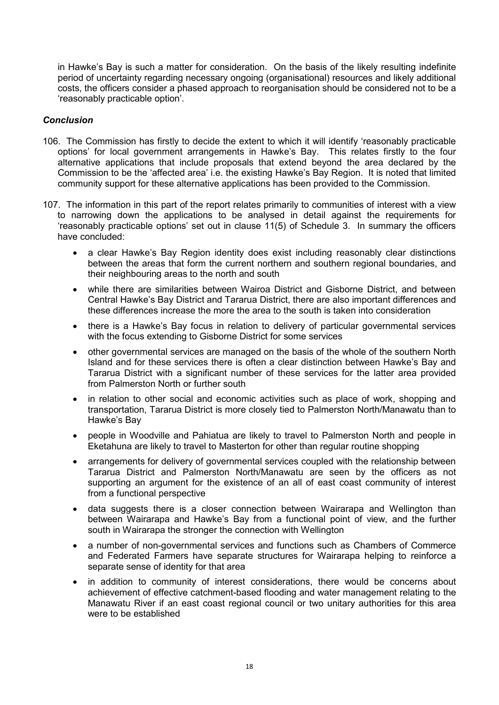in Hawke's Bay is such a matter for consideration. On the basis of the likely resulting indefinite period of uncertainty regarding necessary ongoing (organisational) resources and likely additional costs, the officers consider a phased approach to reorganisation should be considered not to be a 'reasonably practicable option'.

# *Conclusion*

- 106. The Commission has firstly to decide the extent to which it will identify 'reasonably practicable options' for local government arrangements in Hawke's Bay. This relates firstly to the four alternative applications that include proposals that extend beyond the area declared by the Commission to be the 'affected area' i.e. the existing Hawke's Bay Region. It is noted that limited community support for these alternative applications has been provided to the Commission.
- 107. The information in this part of the report relates primarily to communities of interest with a view to narrowing down the applications to be analysed in detail against the requirements for 'reasonably practicable options' set out in clause 11(5) of Schedule 3. In summary the officers have concluded:
	- a clear Hawke's Bay Region identity does exist including reasonably clear distinctions between the areas that form the current northern and southern regional boundaries, and their neighbouring areas to the north and south
	- while there are similarities between Wairoa District and Gisborne District, and between Central Hawke's Bay District and Tararua District, there are also important differences and these differences increase the more the area to the south is taken into consideration
	- there is a Hawke's Bay focus in relation to delivery of particular governmental services with the focus extending to Gisborne District for some services
	- other governmental services are managed on the basis of the whole of the southern North Island and for these services there is often a clear distinction between Hawke's Bay and Tararua District with a significant number of these services for the latter area provided from Palmerston North or further south
	- in relation to other social and economic activities such as place of work, shopping and transportation, Tararua District is more closely tied to Palmerston North/Manawatu than to Hawke's Bay
	- people in Woodville and Pahiatua are likely to travel to Palmerston North and people in Eketahuna are likely to travel to Masterton for other than regular routine shopping
	- arrangements for delivery of governmental services coupled with the relationship between Tararua District and Palmerston North/Manawatu are seen by the officers as not supporting an argument for the existence of an all of east coast community of interest from a functional perspective
	- data suggests there is a closer connection between Wairarapa and Wellington than between Wairarapa and Hawke's Bay from a functional point of view, and the further south in Wairarapa the stronger the connection with Wellington
	- a number of non-governmental services and functions such as Chambers of Commerce and Federated Farmers have separate structures for Wairarapa helping to reinforce a separate sense of identity for that area
	- in addition to community of interest considerations, there would be concerns about achievement of effective catchment-based flooding and water management relating to the Manawatu River if an east coast regional council or two unitary authorities for this area were to be established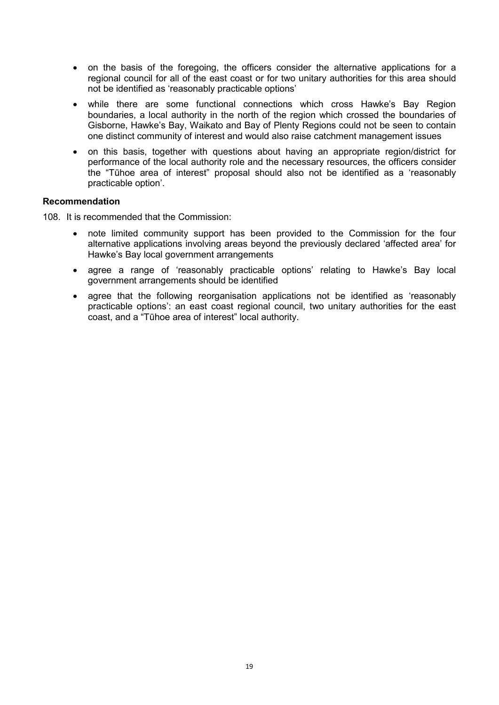- on the basis of the foregoing, the officers consider the alternative applications for a regional council for all of the east coast or for two unitary authorities for this area should not be identified as 'reasonably practicable options'
- while there are some functional connections which cross Hawke's Bay Region boundaries, a local authority in the north of the region which crossed the boundaries of Gisborne, Hawke's Bay, Waikato and Bay of Plenty Regions could not be seen to contain one distinct community of interest and would also raise catchment management issues
- on this basis, together with questions about having an appropriate region/district for performance of the local authority role and the necessary resources, the officers consider the "Tūhoe area of interest" proposal should also not be identified as a 'reasonably practicable option'.

# **Recommendation**

108. It is recommended that the Commission:

- note limited community support has been provided to the Commission for the four alternative applications involving areas beyond the previously declared 'affected area' for Hawke's Bay local government arrangements
- agree a range of 'reasonably practicable options' relating to Hawke's Bay local government arrangements should be identified
- agree that the following reorganisation applications not be identified as 'reasonably practicable options': an east coast regional council, two unitary authorities for the east coast, and a "Tūhoe area of interest" local authority.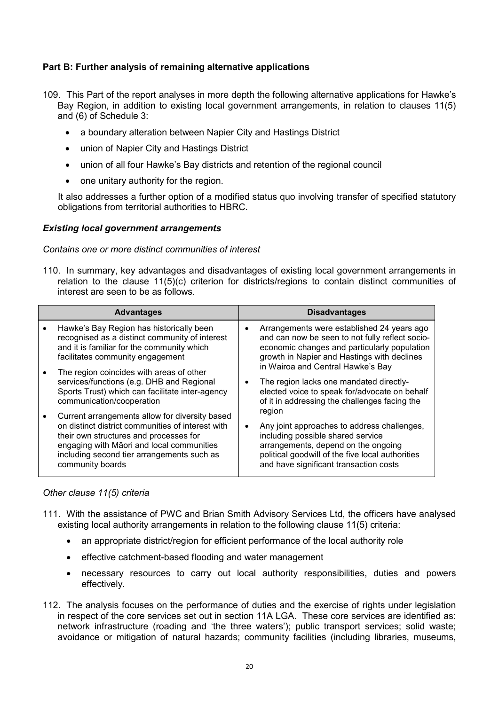# **Part B: Further analysis of remaining alternative applications**

- 109. This Part of the report analyses in more depth the following alternative applications for Hawke's Bay Region, in addition to existing local government arrangements, in relation to clauses 11(5) and (6) of Schedule 3:
	- a boundary alteration between Napier City and Hastings District
	- union of Napier City and Hastings District
	- union of all four Hawke's Bay districts and retention of the regional council
	- one unitary authority for the region.

It also addresses a further option of a modified status quo involving transfer of specified statutory obligations from territorial authorities to HBRC.

### *Existing local government arrangements*

# *Contains one or more distinct communities of interest*

110. In summary, key advantages and disadvantages of existing local government arrangements in relation to the clause 11(5)(c) criterion for districts/regions to contain distinct communities of interest are seen to be as follows.

| <b>Advantages</b>                                                                                                                                                                                                       | <b>Disadvantages</b>                                                                                                                                                                                                               |  |
|-------------------------------------------------------------------------------------------------------------------------------------------------------------------------------------------------------------------------|------------------------------------------------------------------------------------------------------------------------------------------------------------------------------------------------------------------------------------|--|
| Hawke's Bay Region has historically been<br>recognised as a distinct community of interest<br>and it is familiar for the community which<br>facilitates community engagement                                            | Arrangements were established 24 years ago<br>$\bullet$<br>and can now be seen to not fully reflect socio-<br>economic changes and particularly population<br>growth in Napier and Hastings with declines                          |  |
| The region coincides with areas of other<br>services/functions (e.g. DHB and Regional<br>Sports Trust) which can facilitate inter-agency<br>communication/cooperation<br>Current arrangements allow for diversity based | in Wairoa and Central Hawke's Bay<br>The region lacks one mandated directly-<br>$\bullet$<br>elected voice to speak for/advocate on behalf<br>of it in addressing the challenges facing the<br>region                              |  |
| on distinct district communities of interest with<br>their own structures and processes for<br>engaging with Māori and local communities<br>including second tier arrangements such as<br>community boards              | Any joint approaches to address challenges,<br>$\bullet$<br>including possible shared service<br>arrangements, depend on the ongoing<br>political goodwill of the five local authorities<br>and have significant transaction costs |  |

# *Other clause 11(5) criteria*

- 111. With the assistance of PWC and Brian Smith Advisory Services Ltd, the officers have analysed existing local authority arrangements in relation to the following clause 11(5) criteria:
	- an appropriate district/region for efficient performance of the local authority role
	- effective catchment-based flooding and water management
	- necessary resources to carry out local authority responsibilities, duties and powers effectively.
- 112. The analysis focuses on the performance of duties and the exercise of rights under legislation in respect of the core services set out in section 11A LGA. These core services are identified as: network infrastructure (roading and 'the three waters'); public transport services; solid waste; avoidance or mitigation of natural hazards; community facilities (including libraries, museums,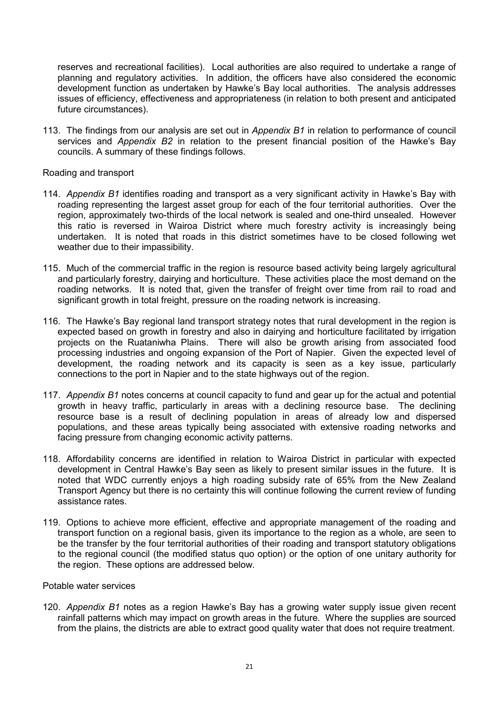reserves and recreational facilities). Local authorities are also required to undertake a range of planning and regulatory activities. In addition, the officers have also considered the economic development function as undertaken by Hawke's Bay local authorities. The analysis addresses issues of efficiency, effectiveness and appropriateness (in relation to both present and anticipated future circumstances).

113. The findings from our analysis are set out in *Appendix B1* in relation to performance of council services and *Appendix B2* in relation to the present financial position of the Hawke's Bay councils. A summary of these findings follows.

### Roading and transport

- 114. *Appendix B1* identifies roading and transport as a very significant activity in Hawke's Bay with roading representing the largest asset group for each of the four territorial authorities. Over the region, approximately two-thirds of the local network is sealed and one-third unsealed. However this ratio is reversed in Wairoa District where much forestry activity is increasingly being undertaken. It is noted that roads in this district sometimes have to be closed following wet weather due to their impassibility.
- 115. Much of the commercial traffic in the region is resource based activity being largely agricultural and particularly forestry, dairying and horticulture. These activities place the most demand on the roading networks. It is noted that, given the transfer of freight over time from rail to road and significant growth in total freight, pressure on the roading network is increasing.
- 116. The Hawke's Bay regional land transport strategy notes that rural development in the region is expected based on growth in forestry and also in dairying and horticulture facilitated by irrigation projects on the Ruataniwha Plains. There will also be growth arising from associated food processing industries and ongoing expansion of the Port of Napier. Given the expected level of development, the roading network and its capacity is seen as a key issue, particularly connections to the port in Napier and to the state highways out of the region.
- 117. *Appendix B1* notes concerns at council capacity to fund and gear up for the actual and potential growth in heavy traffic, particularly in areas with a declining resource base. The declining resource base is a result of declining population in areas of already low and dispersed populations, and these areas typically being associated with extensive roading networks and facing pressure from changing economic activity patterns.
- 118. Affordability concerns are identified in relation to Wairoa District in particular with expected development in Central Hawke's Bay seen as likely to present similar issues in the future. It is noted that WDC currently enjoys a high roading subsidy rate of 65% from the New Zealand Transport Agency but there is no certainty this will continue following the current review of funding assistance rates.
- 119. Options to achieve more efficient, effective and appropriate management of the roading and transport function on a regional basis, given its importance to the region as a whole, are seen to be the transfer by the four territorial authorities of their roading and transport statutory obligations to the regional council (the modified status quo option) or the option of one unitary authority for the region. These options are addressed below.

#### Potable water services

120. *Appendix B1* notes as a region Hawke's Bay has a growing water supply issue given recent rainfall patterns which may impact on growth areas in the future. Where the supplies are sourced from the plains, the districts are able to extract good quality water that does not require treatment.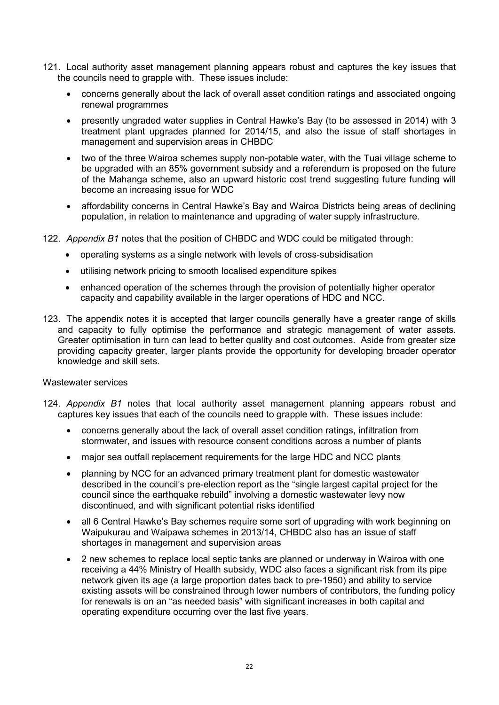- 121. Local authority asset management planning appears robust and captures the key issues that the councils need to grapple with. These issues include:
	- concerns generally about the lack of overall asset condition ratings and associated ongoing renewal programmes
	- presently ungraded water supplies in Central Hawke's Bay (to be assessed in 2014) with 3 treatment plant upgrades planned for 2014/15, and also the issue of staff shortages in management and supervision areas in CHBDC
	- two of the three Wairoa schemes supply non-potable water, with the Tuai village scheme to be upgraded with an 85% government subsidy and a referendum is proposed on the future of the Mahanga scheme, also an upward historic cost trend suggesting future funding will become an increasing issue for WDC
	- affordability concerns in Central Hawke's Bay and Wairoa Districts being areas of declining population, in relation to maintenance and upgrading of water supply infrastructure.
- 122. *Appendix B1* notes that the position of CHBDC and WDC could be mitigated through:
	- operating systems as a single network with levels of cross-subsidisation
	- utilising network pricing to smooth localised expenditure spikes
	- enhanced operation of the schemes through the provision of potentially higher operator capacity and capability available in the larger operations of HDC and NCC.
- 123. The appendix notes it is accepted that larger councils generally have a greater range of skills and capacity to fully optimise the performance and strategic management of water assets. Greater optimisation in turn can lead to better quality and cost outcomes. Aside from greater size providing capacity greater, larger plants provide the opportunity for developing broader operator knowledge and skill sets.

### Wastewater services

- 124. *Appendix B1* notes that local authority asset management planning appears robust and captures key issues that each of the councils need to grapple with. These issues include:
	- concerns generally about the lack of overall asset condition ratings, infiltration from stormwater, and issues with resource consent conditions across a number of plants
	- major sea outfall replacement requirements for the large HDC and NCC plants
	- planning by NCC for an advanced primary treatment plant for domestic wastewater described in the council's pre-election report as the "single largest capital project for the council since the earthquake rebuild" involving a domestic wastewater levy now discontinued, and with significant potential risks identified
	- all 6 Central Hawke's Bay schemes require some sort of upgrading with work beginning on Waipukurau and Waipawa schemes in 2013/14, CHBDC also has an issue of staff shortages in management and supervision areas
	- 2 new schemes to replace local septic tanks are planned or underway in Wairoa with one receiving a 44% Ministry of Health subsidy, WDC also faces a significant risk from its pipe network given its age (a large proportion dates back to pre-1950) and ability to service existing assets will be constrained through lower numbers of contributors, the funding policy for renewals is on an "as needed basis" with significant increases in both capital and operating expenditure occurring over the last five years.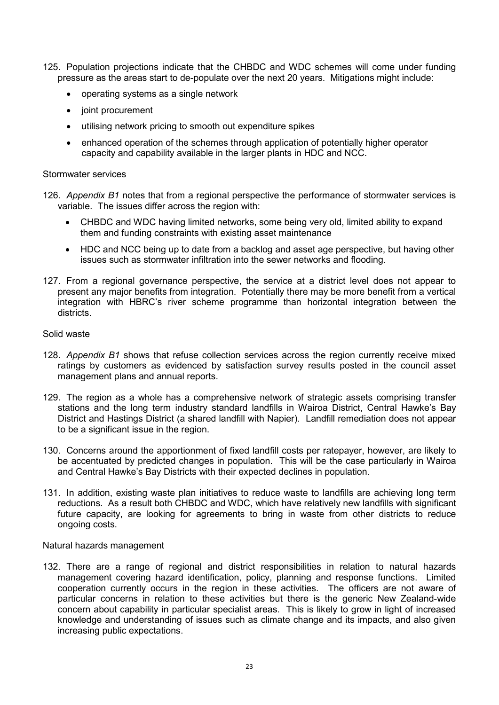- 125. Population projections indicate that the CHBDC and WDC schemes will come under funding pressure as the areas start to de-populate over the next 20 years. Mitigations might include:
	- operating systems as a single network
	- joint procurement
	- utilising network pricing to smooth out expenditure spikes
	- enhanced operation of the schemes through application of potentially higher operator capacity and capability available in the larger plants in HDC and NCC.

#### Stormwater services

126. *Appendix B1* notes that from a regional perspective the performance of stormwater services is variable. The issues differ across the region with:

- CHBDC and WDC having limited networks, some being very old, limited ability to expand them and funding constraints with existing asset maintenance
- HDC and NCC being up to date from a backlog and asset age perspective, but having other issues such as stormwater infiltration into the sewer networks and flooding.
- 127. From a regional governance perspective, the service at a district level does not appear to present any major benefits from integration. Potentially there may be more benefit from a vertical integration with HBRC's river scheme programme than horizontal integration between the districts.

#### Solid waste

- 128. *Appendix B1* shows that refuse collection services across the region currently receive mixed ratings by customers as evidenced by satisfaction survey results posted in the council asset management plans and annual reports.
- 129. The region as a whole has a comprehensive network of strategic assets comprising transfer stations and the long term industry standard landfills in Wairoa District, Central Hawke's Bay District and Hastings District (a shared landfill with Napier). Landfill remediation does not appear to be a significant issue in the region.
- 130. Concerns around the apportionment of fixed landfill costs per ratepayer, however, are likely to be accentuated by predicted changes in population. This will be the case particularly in Wairoa and Central Hawke's Bay Districts with their expected declines in population.
- 131. In addition, existing waste plan initiatives to reduce waste to landfills are achieving long term reductions. As a result both CHBDC and WDC, which have relatively new landfills with significant future capacity, are looking for agreements to bring in waste from other districts to reduce ongoing costs.

Natural hazards management

132. There are a range of regional and district responsibilities in relation to natural hazards management covering hazard identification, policy, planning and response functions. Limited cooperation currently occurs in the region in these activities. The officers are not aware of particular concerns in relation to these activities but there is the generic New Zealand-wide concern about capability in particular specialist areas. This is likely to grow in light of increased knowledge and understanding of issues such as climate change and its impacts, and also given increasing public expectations.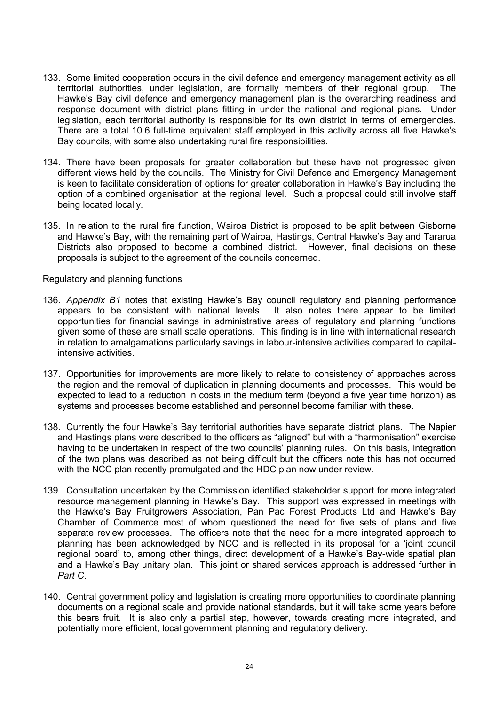- 133. Some limited cooperation occurs in the civil defence and emergency management activity as all territorial authorities, under legislation, are formally members of their regional group. The Hawke's Bay civil defence and emergency management plan is the overarching readiness and response document with district plans fitting in under the national and regional plans. Under legislation, each territorial authority is responsible for its own district in terms of emergencies. There are a total 10.6 full-time equivalent staff employed in this activity across all five Hawke's Bay councils, with some also undertaking rural fire responsibilities.
- 134. There have been proposals for greater collaboration but these have not progressed given different views held by the councils. The Ministry for Civil Defence and Emergency Management is keen to facilitate consideration of options for greater collaboration in Hawke's Bay including the option of a combined organisation at the regional level. Such a proposal could still involve staff being located locally.
- 135. In relation to the rural fire function, Wairoa District is proposed to be split between Gisborne and Hawke's Bay, with the remaining part of Wairoa, Hastings, Central Hawke's Bay and Tararua Districts also proposed to become a combined district. However, final decisions on these proposals is subject to the agreement of the councils concerned.

### Regulatory and planning functions

- 136. *Appendix B1* notes that existing Hawke's Bay council regulatory and planning performance appears to be consistent with national levels. It also notes there appear to be limited opportunities for financial savings in administrative areas of regulatory and planning functions given some of these are small scale operations. This finding is in line with international research in relation to amalgamations particularly savings in labour-intensive activities compared to capitalintensive activities.
- 137. Opportunities for improvements are more likely to relate to consistency of approaches across the region and the removal of duplication in planning documents and processes. This would be expected to lead to a reduction in costs in the medium term (beyond a five year time horizon) as systems and processes become established and personnel become familiar with these.
- 138. Currently the four Hawke's Bay territorial authorities have separate district plans. The Napier and Hastings plans were described to the officers as "aligned" but with a "harmonisation" exercise having to be undertaken in respect of the two councils' planning rules. On this basis, integration of the two plans was described as not being difficult but the officers note this has not occurred with the NCC plan recently promulgated and the HDC plan now under review.
- 139. Consultation undertaken by the Commission identified stakeholder support for more integrated resource management planning in Hawke's Bay. This support was expressed in meetings with the Hawke's Bay Fruitgrowers Association, Pan Pac Forest Products Ltd and Hawke's Bay Chamber of Commerce most of whom questioned the need for five sets of plans and five separate review processes. The officers note that the need for a more integrated approach to planning has been acknowledged by NCC and is reflected in its proposal for a 'joint council regional board' to, among other things, direct development of a Hawke's Bay-wide spatial plan and a Hawke's Bay unitary plan. This joint or shared services approach is addressed further in *Part C*.
- 140. Central government policy and legislation is creating more opportunities to coordinate planning documents on a regional scale and provide national standards, but it will take some years before this bears fruit. It is also only a partial step, however, towards creating more integrated, and potentially more efficient, local government planning and regulatory delivery.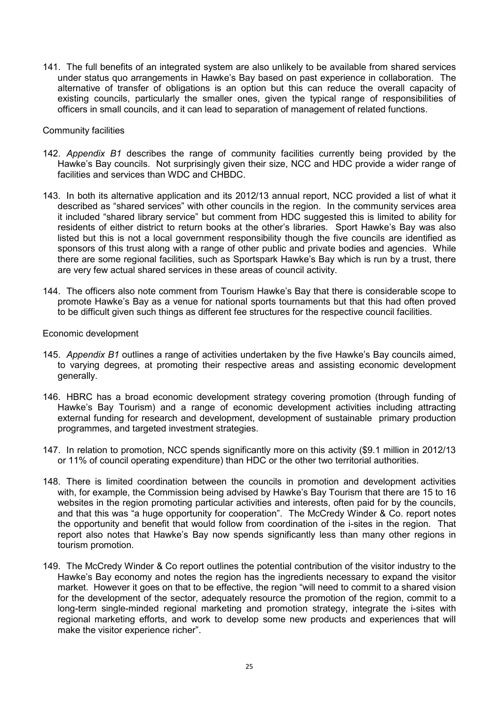141. The full benefits of an integrated system are also unlikely to be available from shared services under status quo arrangements in Hawke's Bay based on past experience in collaboration. The alternative of transfer of obligations is an option but this can reduce the overall capacity of existing councils, particularly the smaller ones, given the typical range of responsibilities of officers in small councils, and it can lead to separation of management of related functions.

### Community facilities

- 142. *Appendix B1* describes the range of community facilities currently being provided by the Hawke's Bay councils. Not surprisingly given their size, NCC and HDC provide a wider range of facilities and services than WDC and CHBDC.
- 143. In both its alternative application and its 2012/13 annual report, NCC provided a list of what it described as "shared services" with other councils in the region. In the community services area it included "shared library service" but comment from HDC suggested this is limited to ability for residents of either district to return books at the other's libraries. Sport Hawke's Bay was also listed but this is not a local government responsibility though the five councils are identified as sponsors of this trust along with a range of other public and private bodies and agencies. While there are some regional facilities, such as Sportspark Hawke's Bay which is run by a trust, there are very few actual shared services in these areas of council activity.
- 144. The officers also note comment from Tourism Hawke's Bay that there is considerable scope to promote Hawke's Bay as a venue for national sports tournaments but that this had often proved to be difficult given such things as different fee structures for the respective council facilities.

### Economic development

- 145. *Appendix B1* outlines a range of activities undertaken by the five Hawke's Bay councils aimed, to varying degrees, at promoting their respective areas and assisting economic development generally.
- 146. HBRC has a broad economic development strategy covering promotion (through funding of Hawke's Bay Tourism) and a range of economic development activities including attracting external funding for research and development, development of sustainable primary production programmes, and targeted investment strategies.
- 147. In relation to promotion, NCC spends significantly more on this activity (\$9.1 million in 2012/13 or 11% of council operating expenditure) than HDC or the other two territorial authorities.
- 148. There is limited coordination between the councils in promotion and development activities with, for example, the Commission being advised by Hawke's Bay Tourism that there are 15 to 16 websites in the region promoting particular activities and interests, often paid for by the councils, and that this was "a huge opportunity for cooperation". The McCredy Winder & Co. report notes the opportunity and benefit that would follow from coordination of the i-sites in the region. That report also notes that Hawke's Bay now spends significantly less than many other regions in tourism promotion.
- 149. The McCredy Winder & Co report outlines the potential contribution of the visitor industry to the Hawke's Bay economy and notes the region has the ingredients necessary to expand the visitor market. However it goes on that to be effective, the region "will need to commit to a shared vision for the development of the sector, adequately resource the promotion of the region, commit to a long-term single-minded regional marketing and promotion strategy, integrate the i-sites with regional marketing efforts, and work to develop some new products and experiences that will make the visitor experience richer".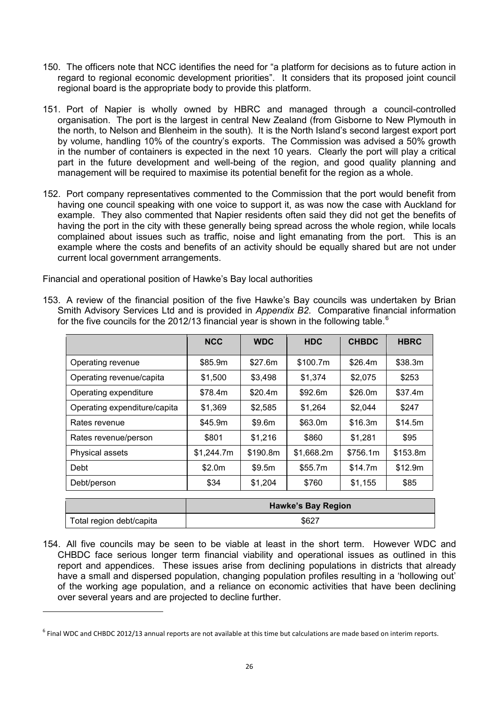- 150. The officers note that NCC identifies the need for "a platform for decisions as to future action in regard to regional economic development priorities". It considers that its proposed joint council regional board is the appropriate body to provide this platform.
- 151. Port of Napier is wholly owned by HBRC and managed through a council-controlled organisation. The port is the largest in central New Zealand (from Gisborne to New Plymouth in the north, to Nelson and Blenheim in the south). It is the North Island's second largest export port by volume, handling 10% of the country's exports. The Commission was advised a 50% growth in the number of containers is expected in the next 10 years. Clearly the port will play a critical part in the future development and well-being of the region, and good quality planning and management will be required to maximise its potential benefit for the region as a whole.
- 152. Port company representatives commented to the Commission that the port would benefit from having one council speaking with one voice to support it, as was now the case with Auckland for example. They also commented that Napier residents often said they did not get the benefits of having the port in the city with these generally being spread across the whole region, while locals complained about issues such as traffic, noise and light emanating from the port. This is an example where the costs and benefits of an activity should be equally shared but are not under current local government arrangements.

Financial and operational position of Hawke's Bay local authorities

<span id="page-25-0"></span>**.** 

|                              | <b>NCC</b> | <b>WDC</b> | <b>HDC</b> | <b>CHBDC</b> | <b>HBRC</b> |
|------------------------------|------------|------------|------------|--------------|-------------|
| Operating revenue            | \$85.9m    | \$27.6m    | \$100.7m   | \$26.4m      | \$38.3m     |
| Operating revenue/capita     | \$1,500    | \$3,498    | \$1.374    | \$2.075      | \$253       |
| Operating expenditure        | \$78.4m    | \$20.4m    | \$92.6m    | \$26.0m      | \$37.4m     |
| Operating expenditure/capita | \$1,369    | \$2,585    | \$1.264    | \$2.044      | \$247       |
| Rates revenue                | \$45.9m    | \$9.6m     | \$63.0m    | \$16.3m      | \$14.5m     |
| Rates revenue/person         | \$801      | \$1,216    | \$860      | \$1,281      | \$95        |
| Physical assets              | \$1,244.7m | \$190.8m   | \$1,668.2m | \$756.1m     | \$153.8m    |
| Debt                         | \$2.0m     | \$9.5m     | \$55.7m    | \$14.7m      | \$12.9m     |
| Debt/person                  | \$34       | \$1,204    | \$760      | \$1,155      | \$85        |

153. A review of the financial position of the five Hawke's Bay councils was undertaken by Brian Smith Advisory Services Ltd and is provided in *Appendix B2*. Comparative financial information for the five councils for the 2012/13 financial year is shown in the following table.<sup>[6](#page-13-0)</sup>

|                          | <b>Hawke's Bay Region</b> |
|--------------------------|---------------------------|
| Total region debt/capita | \$627                     |

154. All five councils may be seen to be viable at least in the short term. However WDC and CHBDC face serious longer term financial viability and operational issues as outlined in this report and appendices. These issues arise from declining populations in districts that already have a small and dispersed population, changing population profiles resulting in a 'hollowing out' of the working age population, and a reliance on economic activities that have been declining over several years and are projected to decline further.

 $6$  Final WDC and CHBDC 2012/13 annual reports are not available at this time but calculations are made based on interim reports.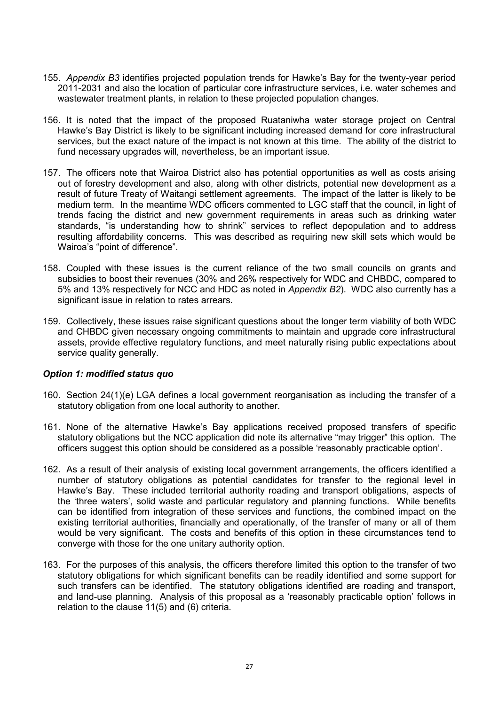- 155. *Appendix B3* identifies projected population trends for Hawke's Bay for the twenty-year period 2011-2031 and also the location of particular core infrastructure services, i.e. water schemes and wastewater treatment plants, in relation to these projected population changes.
- 156. It is noted that the impact of the proposed Ruataniwha water storage project on Central Hawke's Bay District is likely to be significant including increased demand for core infrastructural services, but the exact nature of the impact is not known at this time. The ability of the district to fund necessary upgrades will, nevertheless, be an important issue.
- 157. The officers note that Wairoa District also has potential opportunities as well as costs arising out of forestry development and also, along with other districts, potential new development as a result of future Treaty of Waitangi settlement agreements. The impact of the latter is likely to be medium term. In the meantime WDC officers commented to LGC staff that the council, in light of trends facing the district and new government requirements in areas such as drinking water standards, "is understanding how to shrink" services to reflect depopulation and to address resulting affordability concerns. This was described as requiring new skill sets which would be Wairoa's "point of difference".
- 158. Coupled with these issues is the current reliance of the two small councils on grants and subsidies to boost their revenues (30% and 26% respectively for WDC and CHBDC, compared to 5% and 13% respectively for NCC and HDC as noted in *Appendix B2*). WDC also currently has a significant issue in relation to rates arrears.
- 159. Collectively, these issues raise significant questions about the longer term viability of both WDC and CHBDC given necessary ongoing commitments to maintain and upgrade core infrastructural assets, provide effective regulatory functions, and meet naturally rising public expectations about service quality generally.

# *Option 1: modified status quo*

- 160. Section 24(1)(e) LGA defines a local government reorganisation as including the transfer of a statutory obligation from one local authority to another.
- 161. None of the alternative Hawke's Bay applications received proposed transfers of specific statutory obligations but the NCC application did note its alternative "may trigger" this option. The officers suggest this option should be considered as a possible 'reasonably practicable option'.
- 162. As a result of their analysis of existing local government arrangements, the officers identified a number of statutory obligations as potential candidates for transfer to the regional level in Hawke's Bay. These included territorial authority roading and transport obligations, aspects of the 'three waters', solid waste and particular regulatory and planning functions. While benefits can be identified from integration of these services and functions, the combined impact on the existing territorial authorities, financially and operationally, of the transfer of many or all of them would be very significant. The costs and benefits of this option in these circumstances tend to converge with those for the one unitary authority option.
- 163. For the purposes of this analysis, the officers therefore limited this option to the transfer of two statutory obligations for which significant benefits can be readily identified and some support for such transfers can be identified. The statutory obligations identified are roading and transport, and land-use planning. Analysis of this proposal as a 'reasonably practicable option' follows in relation to the clause 11(5) and (6) criteria.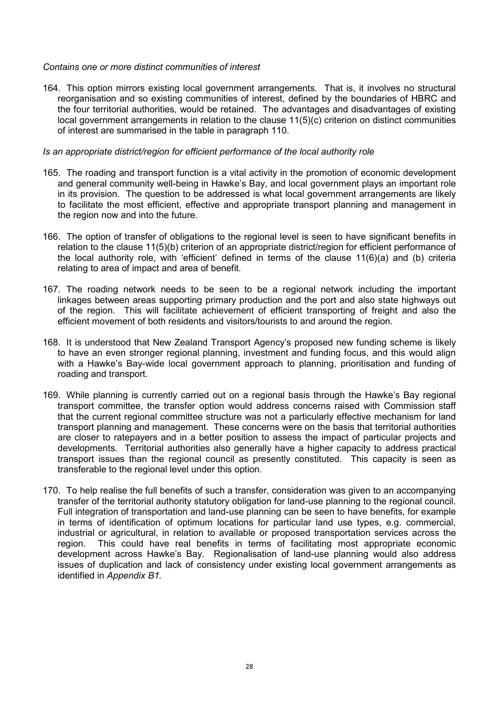# *Contains one or more distinct communities of interest*

164. This option mirrors existing local government arrangements. That is, it involves no structural reorganisation and so existing communities of interest, defined by the boundaries of HBRC and the four territorial authorities, would be retained. The advantages and disadvantages of existing local government arrangements in relation to the clause 11(5)(c) criterion on distinct communities of interest are summarised in the table in paragraph 110.

### *Is an appropriate district/region for efficient performance of the local authority role*

- 165. The roading and transport function is a vital activity in the promotion of economic development and general community well-being in Hawke's Bay, and local government plays an important role in its provision. The question to be addressed is what local government arrangements are likely to facilitate the most efficient, effective and appropriate transport planning and management in the region now and into the future.
- 166. The option of transfer of obligations to the regional level is seen to have significant benefits in relation to the clause 11(5)(b) criterion of an appropriate district/region for efficient performance of the local authority role, with 'efficient' defined in terms of the clause 11(6)(a) and (b) criteria relating to area of impact and area of benefit.
- 167. The roading network needs to be seen to be a regional network including the important linkages between areas supporting primary production and the port and also state highways out of the region. This will facilitate achievement of efficient transporting of freight and also the efficient movement of both residents and visitors/tourists to and around the region.
- 168. It is understood that New Zealand Transport Agency's proposed new funding scheme is likely to have an even stronger regional planning, investment and funding focus, and this would align with a Hawke's Bay-wide local government approach to planning, prioritisation and funding of roading and transport.
- 169. While planning is currently carried out on a regional basis through the Hawke's Bay regional transport committee, the transfer option would address concerns raised with Commission staff that the current regional committee structure was not a particularly effective mechanism for land transport planning and management. These concerns were on the basis that territorial authorities are closer to ratepayers and in a better position to assess the impact of particular projects and developments. Territorial authorities also generally have a higher capacity to address practical transport issues than the regional council as presently constituted. This capacity is seen as transferable to the regional level under this option.
- 170. To help realise the full benefits of such a transfer, consideration was given to an accompanying transfer of the territorial authority statutory obligation for land-use planning to the regional council. Full integration of transportation and land-use planning can be seen to have benefits, for example in terms of identification of optimum locations for particular land use types, e.g. commercial, industrial or agricultural, in relation to available or proposed transportation services across the region. This could have real benefits in terms of facilitating most appropriate economic development across Hawke's Bay. Regionalisation of land-use planning would also address issues of duplication and lack of consistency under existing local government arrangements as identified in *Appendix B1.*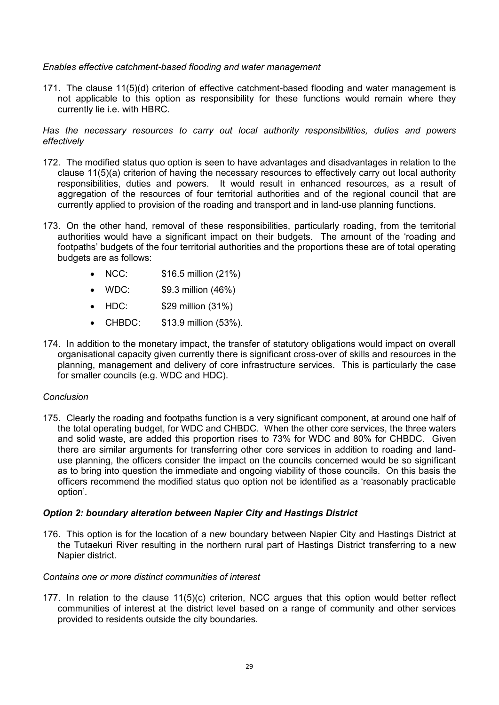# *Enables effective catchment-based flooding and water management*

171. The clause 11(5)(d) criterion of effective catchment-based flooding and water management is not applicable to this option as responsibility for these functions would remain where they currently lie i.e. with HBRC.

*Has the necessary resources to carry out local authority responsibilities, duties and powers effectively*

- 172. The modified status quo option is seen to have advantages and disadvantages in relation to the clause 11(5)(a) criterion of having the necessary resources to effectively carry out local authority responsibilities, duties and powers. It would result in enhanced resources, as a result of aggregation of the resources of four territorial authorities and of the regional council that are currently applied to provision of the roading and transport and in land-use planning functions.
- 173. On the other hand, removal of these responsibilities, particularly roading, from the territorial authorities would have a significant impact on their budgets. The amount of the 'roading and footpaths' budgets of the four territorial authorities and the proportions these are of total operating budgets are as follows:
	- NCC: \$16.5 million (21%)
	- WDC: \$9.3 million (46%)
	- HDC: \$29 million (31%)
	- CHBDC: \$13.9 million (53%).
- 174. In addition to the monetary impact, the transfer of statutory obligations would impact on overall organisational capacity given currently there is significant cross-over of skills and resources in the planning, management and delivery of core infrastructure services. This is particularly the case for smaller councils (e.g. WDC and HDC).

# *Conclusion*

175. Clearly the roading and footpaths function is a very significant component, at around one half of the total operating budget, for WDC and CHBDC. When the other core services, the three waters and solid waste, are added this proportion rises to 73% for WDC and 80% for CHBDC. Given there are similar arguments for transferring other core services in addition to roading and landuse planning, the officers consider the impact on the councils concerned would be so significant as to bring into question the immediate and ongoing viability of those councils. On this basis the officers recommend the modified status quo option not be identified as a 'reasonably practicable option'*.*

# *Option 2: boundary alteration between Napier City and Hastings District*

176. This option is for the location of a new boundary between Napier City and Hastings District at the Tutaekuri River resulting in the northern rural part of Hastings District transferring to a new Napier district.

#### *Contains one or more distinct communities of interest*

177. In relation to the clause 11(5)(c) criterion, NCC argues that this option would better reflect communities of interest at the district level based on a range of community and other services provided to residents outside the city boundaries.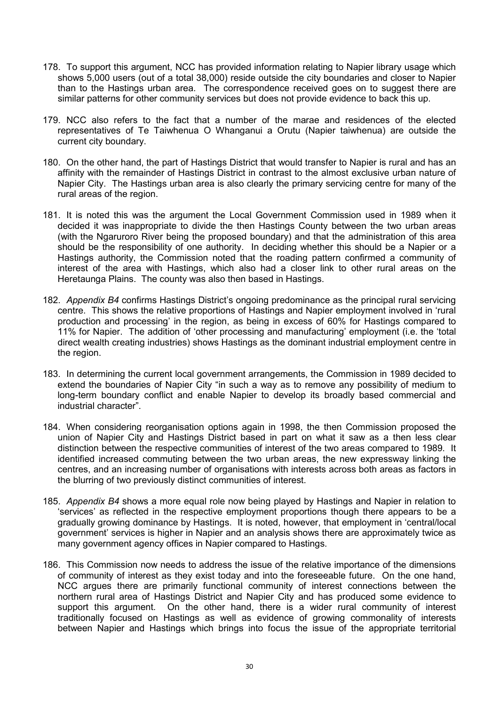- 178. To support this argument, NCC has provided information relating to Napier library usage which shows 5,000 users (out of a total 38,000) reside outside the city boundaries and closer to Napier than to the Hastings urban area. The correspondence received goes on to suggest there are similar patterns for other community services but does not provide evidence to back this up.
- 179. NCC also refers to the fact that a number of the marae and residences of the elected representatives of Te Taiwhenua O Whanganui a Orutu (Napier taiwhenua) are outside the current city boundary.
- 180. On the other hand, the part of Hastings District that would transfer to Napier is rural and has an affinity with the remainder of Hastings District in contrast to the almost exclusive urban nature of Napier City. The Hastings urban area is also clearly the primary servicing centre for many of the rural areas of the region.
- 181. It is noted this was the argument the Local Government Commission used in 1989 when it decided it was inappropriate to divide the then Hastings County between the two urban areas (with the Ngaruroro River being the proposed boundary) and that the administration of this area should be the responsibility of one authority. In deciding whether this should be a Napier or a Hastings authority, the Commission noted that the roading pattern confirmed a community of interest of the area with Hastings, which also had a closer link to other rural areas on the Heretaunga Plains. The county was also then based in Hastings.
- 182. *Appendix B4* confirms Hastings District's ongoing predominance as the principal rural servicing centre. This shows the relative proportions of Hastings and Napier employment involved in 'rural production and processing' in the region, as being in excess of 60% for Hastings compared to 11% for Napier. The addition of 'other processing and manufacturing' employment (i.e. the 'total direct wealth creating industries) shows Hastings as the dominant industrial employment centre in the region.
- 183. In determining the current local government arrangements, the Commission in 1989 decided to extend the boundaries of Napier City "in such a way as to remove any possibility of medium to long-term boundary conflict and enable Napier to develop its broadly based commercial and industrial character".
- 184. When considering reorganisation options again in 1998, the then Commission proposed the union of Napier City and Hastings District based in part on what it saw as a then less clear distinction between the respective communities of interest of the two areas compared to 1989. It identified increased commuting between the two urban areas, the new expressway linking the centres, and an increasing number of organisations with interests across both areas as factors in the blurring of two previously distinct communities of interest.
- 185. *Appendix B4* shows a more equal role now being played by Hastings and Napier in relation to 'services' as reflected in the respective employment proportions though there appears to be a gradually growing dominance by Hastings. It is noted, however, that employment in 'central/local government' services is higher in Napier and an analysis shows there are approximately twice as many government agency offices in Napier compared to Hastings.
- 186. This Commission now needs to address the issue of the relative importance of the dimensions of community of interest as they exist today and into the foreseeable future. On the one hand, NCC argues there are primarily functional community of interest connections between the northern rural area of Hastings District and Napier City and has produced some evidence to support this argument. On the other hand, there is a wider rural community of interest traditionally focused on Hastings as well as evidence of growing commonality of interests between Napier and Hastings which brings into focus the issue of the appropriate territorial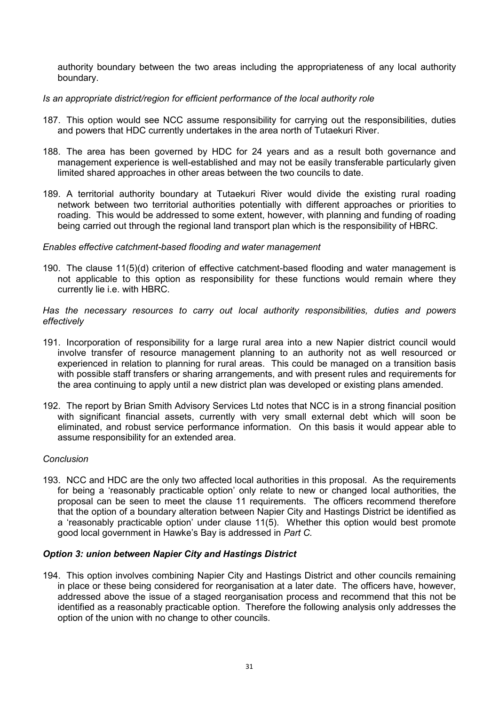authority boundary between the two areas including the appropriateness of any local authority boundary.

# *Is an appropriate district/region for efficient performance of the local authority role*

- 187. This option would see NCC assume responsibility for carrying out the responsibilities, duties and powers that HDC currently undertakes in the area north of Tutaekuri River.
- 188. The area has been governed by HDC for 24 years and as a result both governance and management experience is well-established and may not be easily transferable particularly given limited shared approaches in other areas between the two councils to date.
- 189. A territorial authority boundary at Tutaekuri River would divide the existing rural roading network between two territorial authorities potentially with different approaches or priorities to roading. This would be addressed to some extent, however, with planning and funding of roading being carried out through the regional land transport plan which is the responsibility of HBRC.

### *Enables effective catchment-based flooding and water management*

190. The clause 11(5)(d) criterion of effective catchment-based flooding and water management is not applicable to this option as responsibility for these functions would remain where they currently lie i.e. with HBRC.

*Has the necessary resources to carry out local authority responsibilities, duties and powers effectively*

- 191. Incorporation of responsibility for a large rural area into a new Napier district council would involve transfer of resource management planning to an authority not as well resourced or experienced in relation to planning for rural areas. This could be managed on a transition basis with possible staff transfers or sharing arrangements, and with present rules and requirements for the area continuing to apply until a new district plan was developed or existing plans amended.
- 192. The report by Brian Smith Advisory Services Ltd notes that NCC is in a strong financial position with significant financial assets, currently with very small external debt which will soon be eliminated, and robust service performance information. On this basis it would appear able to assume responsibility for an extended area.

#### *Conclusion*

193. NCC and HDC are the only two affected local authorities in this proposal. As the requirements for being a 'reasonably practicable option' only relate to new or changed local authorities, the proposal can be seen to meet the clause 11 requirements. The officers recommend therefore that the option of a boundary alteration between Napier City and Hastings District be identified as a 'reasonably practicable option' under clause 11(5). Whether this option would best promote good local government in Hawke's Bay is addressed in *Part C.*

# *Option 3: union between Napier City and Hastings District*

194. This option involves combining Napier City and Hastings District and other councils remaining in place or these being considered for reorganisation at a later date. The officers have, however, addressed above the issue of a staged reorganisation process and recommend that this not be identified as a reasonably practicable option. Therefore the following analysis only addresses the option of the union with no change to other councils.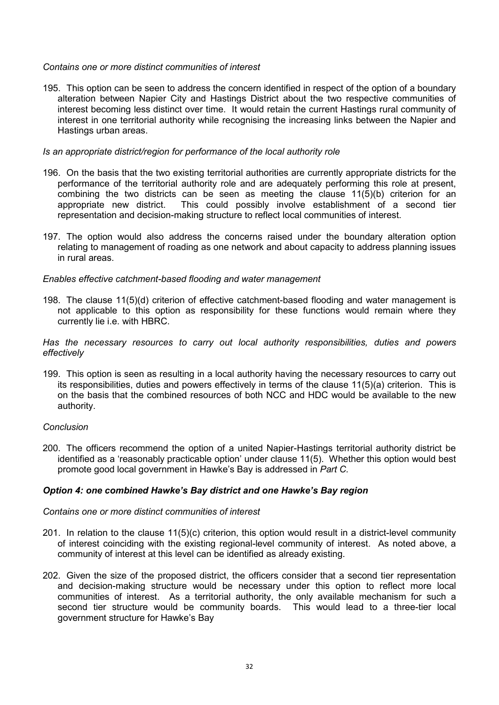# *Contains one or more distinct communities of interest*

195. This option can be seen to address the concern identified in respect of the option of a boundary alteration between Napier City and Hastings District about the two respective communities of interest becoming less distinct over time. It would retain the current Hastings rural community of interest in one territorial authority while recognising the increasing links between the Napier and Hastings urban areas.

#### *Is an appropriate district/region for performance of the local authority role*

- 196. On the basis that the two existing territorial authorities are currently appropriate districts for the performance of the territorial authority role and are adequately performing this role at present, combining the two districts can be seen as meeting the clause 11(5)(b) criterion for an appropriate new district. This could possibly involve establishment of a second tier representation and decision-making structure to reflect local communities of interest.
- 197. The option would also address the concerns raised under the boundary alteration option relating to management of roading as one network and about capacity to address planning issues in rural areas.

### *Enables effective catchment-based flooding and water management*

198. The clause 11(5)(d) criterion of effective catchment-based flooding and water management is not applicable to this option as responsibility for these functions would remain where they currently lie i.e. with HBRC.

*Has the necessary resources to carry out local authority responsibilities, duties and powers effectively*

199. This option is seen as resulting in a local authority having the necessary resources to carry out its responsibilities, duties and powers effectively in terms of the clause 11(5)(a) criterion. This is on the basis that the combined resources of both NCC and HDC would be available to the new authority.

#### *Conclusion*

200. The officers recommend the option of a united Napier-Hastings territorial authority district be identified as a 'reasonably practicable option' under clause 11(5). Whether this option would best promote good local government in Hawke's Bay is addressed in *Part C.*

#### *Option 4: one combined Hawke's Bay district and one Hawke's Bay region*

#### *Contains one or more distinct communities of interest*

- 201. In relation to the clause 11(5)(c) criterion, this option would result in a district-level community of interest coinciding with the existing regional-level community of interest. As noted above, a community of interest at this level can be identified as already existing.
- 202. Given the size of the proposed district, the officers consider that a second tier representation and decision-making structure would be necessary under this option to reflect more local communities of interest. As a territorial authority, the only available mechanism for such a second tier structure would be community boards. This would lead to a three-tier local government structure for Hawke's Bay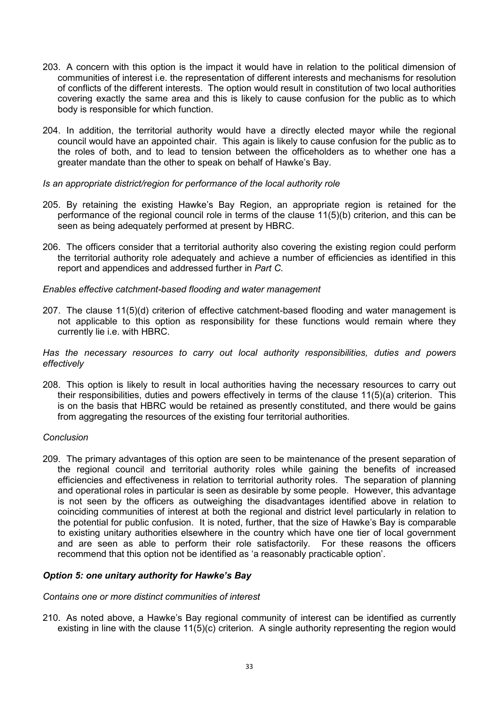- 203. A concern with this option is the impact it would have in relation to the political dimension of communities of interest i.e. the representation of different interests and mechanisms for resolution of conflicts of the different interests. The option would result in constitution of two local authorities covering exactly the same area and this is likely to cause confusion for the public as to which body is responsible for which function.
- 204. In addition, the territorial authority would have a directly elected mayor while the regional council would have an appointed chair. This again is likely to cause confusion for the public as to the roles of both, and to lead to tension between the officeholders as to whether one has a greater mandate than the other to speak on behalf of Hawke's Bay.

### *Is an appropriate district/region for performance of the local authority role*

- 205. By retaining the existing Hawke's Bay Region, an appropriate region is retained for the performance of the regional council role in terms of the clause 11(5)(b) criterion, and this can be seen as being adequately performed at present by HBRC.
- 206. The officers consider that a territorial authority also covering the existing region could perform the territorial authority role adequately and achieve a number of efficiencies as identified in this report and appendices and addressed further in *Part C*.

# *Enables effective catchment-based flooding and water management*

207. The clause 11(5)(d) criterion of effective catchment-based flooding and water management is not applicable to this option as responsibility for these functions would remain where they currently lie i.e. with HBRC.

*Has the necessary resources to carry out local authority responsibilities, duties and powers effectively*

208. This option is likely to result in local authorities having the necessary resources to carry out their responsibilities, duties and powers effectively in terms of the clause 11(5)(a) criterion. This is on the basis that HBRC would be retained as presently constituted, and there would be gains from aggregating the resources of the existing four territorial authorities.

#### *Conclusion*

209. The primary advantages of this option are seen to be maintenance of the present separation of the regional council and territorial authority roles while gaining the benefits of increased efficiencies and effectiveness in relation to territorial authority roles. The separation of planning and operational roles in particular is seen as desirable by some people. However, this advantage is not seen by the officers as outweighing the disadvantages identified above in relation to coinciding communities of interest at both the regional and district level particularly in relation to the potential for public confusion. It is noted, further, that the size of Hawke's Bay is comparable to existing unitary authorities elsewhere in the country which have one tier of local government and are seen as able to perform their role satisfactorily. For these reasons the officers recommend that this option not be identified as 'a reasonably practicable option'.

# *Option 5: one unitary authority for Hawke's Bay*

#### *Contains one or more distinct communities of interest*

210. As noted above, a Hawke's Bay regional community of interest can be identified as currently existing in line with the clause 11(5)(c) criterion. A single authority representing the region would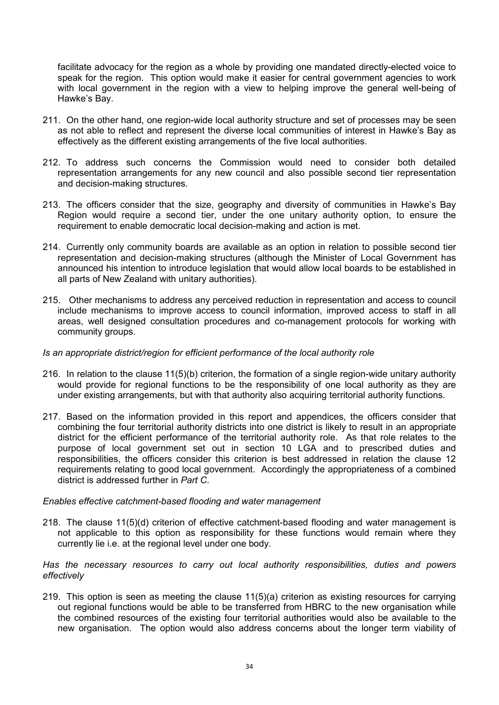facilitate advocacy for the region as a whole by providing one mandated directly-elected voice to speak for the region. This option would make it easier for central government agencies to work with local government in the region with a view to helping improve the general well-being of Hawke's Bay.

- 211. On the other hand, one region-wide local authority structure and set of processes may be seen as not able to reflect and represent the diverse local communities of interest in Hawke's Bay as effectively as the different existing arrangements of the five local authorities.
- 212. To address such concerns the Commission would need to consider both detailed representation arrangements for any new council and also possible second tier representation and decision-making structures.
- 213. The officers consider that the size, geography and diversity of communities in Hawke's Bay Region would require a second tier, under the one unitary authority option, to ensure the requirement to enable democratic local decision-making and action is met.
- 214. Currently only community boards are available as an option in relation to possible second tier representation and decision-making structures (although the Minister of Local Government has announced his intention to introduce legislation that would allow local boards to be established in all parts of New Zealand with unitary authorities).
- 215. Other mechanisms to address any perceived reduction in representation and access to council include mechanisms to improve access to council information, improved access to staff in all areas, well designed consultation procedures and co-management protocols for working with community groups.

# *Is an appropriate district/region for efficient performance of the local authority role*

- 216. In relation to the clause 11(5)(b) criterion, the formation of a single region-wide unitary authority would provide for regional functions to be the responsibility of one local authority as they are under existing arrangements, but with that authority also acquiring territorial authority functions.
- 217. Based on the information provided in this report and appendices, the officers consider that combining the four territorial authority districts into one district is likely to result in an appropriate district for the efficient performance of the territorial authority role. As that role relates to the purpose of local government set out in section 10 LGA and to prescribed duties and responsibilities, the officers consider this criterion is best addressed in relation the clause 12 requirements relating to good local government. Accordingly the appropriateness of a combined district is addressed further in *Part C*.

#### *Enables effective catchment-based flooding and water management*

218. The clause 11(5)(d) criterion of effective catchment-based flooding and water management is not applicable to this option as responsibility for these functions would remain where they currently lie i.e. at the regional level under one body.

*Has the necessary resources to carry out local authority responsibilities, duties and powers effectively*

219. This option is seen as meeting the clause 11(5)(a) criterion as existing resources for carrying out regional functions would be able to be transferred from HBRC to the new organisation while the combined resources of the existing four territorial authorities would also be available to the new organisation. The option would also address concerns about the longer term viability of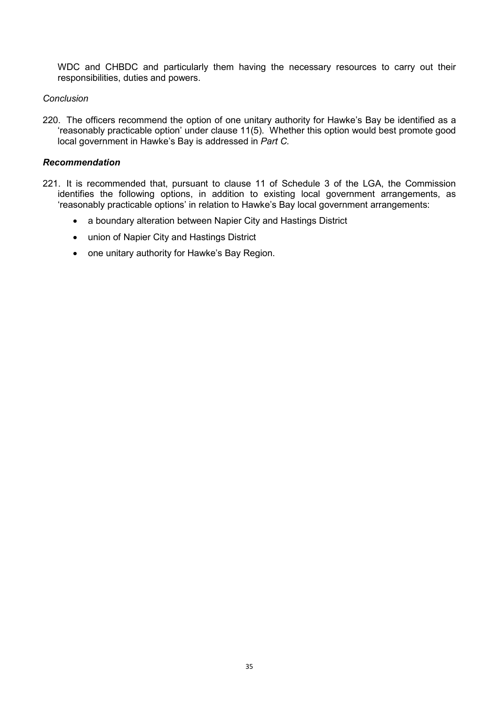WDC and CHBDC and particularly them having the necessary resources to carry out their responsibilities, duties and powers.

### *Conclusion*

220. The officers recommend the option of one unitary authority for Hawke's Bay be identified as a 'reasonably practicable option' under clause 11(5). Whether this option would best promote good local government in Hawke's Bay is addressed in *Part C.*

### *Recommendation*

- 221. It is recommended that, pursuant to clause 11 of Schedule 3 of the LGA, the Commission identifies the following options, in addition to existing local government arrangements, as 'reasonably practicable options' in relation to Hawke's Bay local government arrangements:
	- a boundary alteration between Napier City and Hastings District
	- union of Napier City and Hastings District
	- one unitary authority for Hawke's Bay Region.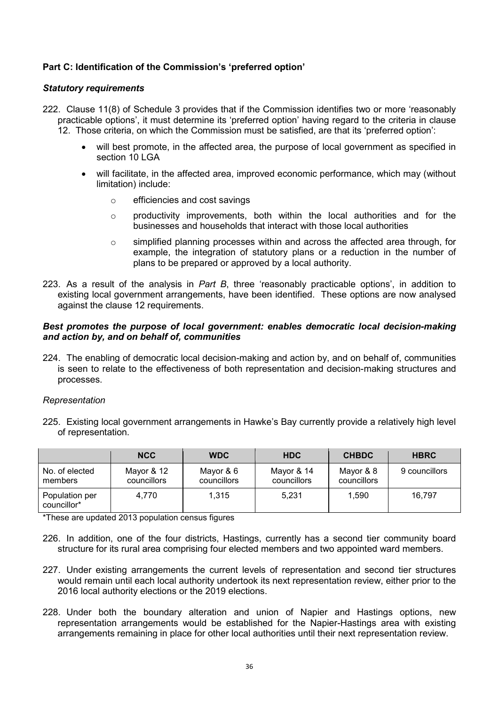# **Part C: Identification of the Commission's 'preferred option'**

# *Statutory requirements*

- 222. Clause 11(8) of Schedule 3 provides that if the Commission identifies two or more 'reasonably practicable options', it must determine its 'preferred option' having regard to the criteria in clause 12. Those criteria, on which the Commission must be satisfied, are that its 'preferred option':
	- will best promote, in the affected area, the purpose of local government as specified in section 10 LGA
	- will facilitate, in the affected area, improved economic performance, which may (without limitation) include:
		- o efficiencies and cost savings
		- o productivity improvements, both within the local authorities and for the businesses and households that interact with those local authorities
		- $\circ$  simplified planning processes within and across the affected area through, for example, the integration of statutory plans or a reduction in the number of plans to be prepared or approved by a local authority.
- 223. As a result of the analysis in *Part B*, three 'reasonably practicable options', in addition to existing local government arrangements, have been identified. These options are now analysed against the clause 12 requirements.

# *Best promotes the purpose of local government: enables democratic local decision-making and action by, and on behalf of, communities*

224. The enabling of democratic local decision-making and action by, and on behalf of, communities is seen to relate to the effectiveness of both representation and decision-making structures and processes.

#### *Representation*

225. Existing local government arrangements in Hawke's Bay currently provide a relatively high level of representation.

|                               | <b>NCC</b>                | <b>WDC</b>               | <b>HDC</b>                | <b>CHBDC</b>             | <b>HBRC</b>   |
|-------------------------------|---------------------------|--------------------------|---------------------------|--------------------------|---------------|
| No. of elected<br>members     | Mayor & 12<br>councillors | Mayor & 6<br>councillors | Mayor & 14<br>councillors | Mayor & 8<br>councillors | 9 councillors |
| Population per<br>councillor* | 4.770                     | 1.315                    | 5.231                     | 1,590                    | 16,797        |

\*These are updated 2013 population census figures

- 226. In addition, one of the four districts, Hastings, currently has a second tier community board structure for its rural area comprising four elected members and two appointed ward members.
- 227. Under existing arrangements the current levels of representation and second tier structures would remain until each local authority undertook its next representation review, either prior to the 2016 local authority elections or the 2019 elections.
- 228. Under both the boundary alteration and union of Napier and Hastings options, new representation arrangements would be established for the Napier-Hastings area with existing arrangements remaining in place for other local authorities until their next representation review.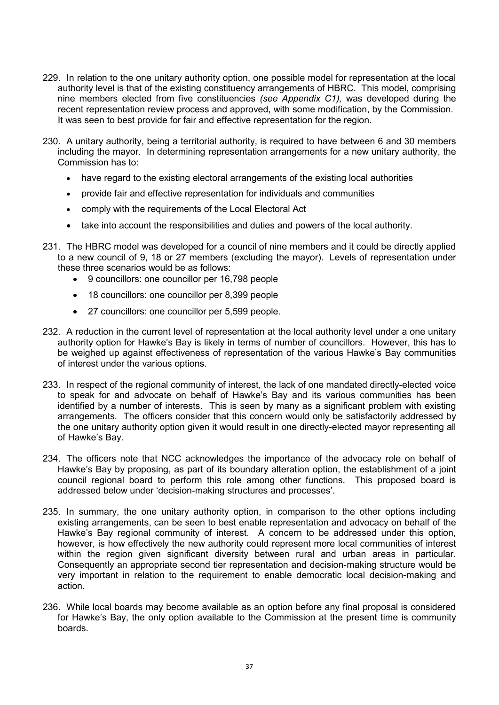- 229. In relation to the one unitary authority option, one possible model for representation at the local authority level is that of the existing constituency arrangements of HBRC. This model, comprising nine members elected from five constituencies *(see Appendix C1),* was developed during the recent representation review process and approved, with some modification, by the Commission. It was seen to best provide for fair and effective representation for the region.
- 230. A unitary authority, being a territorial authority, is required to have between 6 and 30 members including the mayor. In determining representation arrangements for a new unitary authority, the Commission has to:
	- have regard to the existing electoral arrangements of the existing local authorities
	- provide fair and effective representation for individuals and communities
	- comply with the requirements of the Local Electoral Act
	- take into account the responsibilities and duties and powers of the local authority.
- 231. The HBRC model was developed for a council of nine members and it could be directly applied to a new council of 9, 18 or 27 members (excluding the mayor). Levels of representation under these three scenarios would be as follows:
	- 9 councillors: one councillor per 16,798 people
	- 18 councillors: one councillor per 8,399 people
	- 27 councillors: one councillor per 5,599 people.
- 232. A reduction in the current level of representation at the local authority level under a one unitary authority option for Hawke's Bay is likely in terms of number of councillors. However, this has to be weighed up against effectiveness of representation of the various Hawke's Bay communities of interest under the various options.
- 233. In respect of the regional community of interest, the lack of one mandated directly-elected voice to speak for and advocate on behalf of Hawke's Bay and its various communities has been identified by a number of interests. This is seen by many as a significant problem with existing arrangements. The officers consider that this concern would only be satisfactorily addressed by the one unitary authority option given it would result in one directly-elected mayor representing all of Hawke's Bay.
- 234. The officers note that NCC acknowledges the importance of the advocacy role on behalf of Hawke's Bay by proposing, as part of its boundary alteration option, the establishment of a joint council regional board to perform this role among other functions. This proposed board is addressed below under 'decision-making structures and processes'.
- 235. In summary, the one unitary authority option, in comparison to the other options including existing arrangements, can be seen to best enable representation and advocacy on behalf of the Hawke's Bay regional community of interest. A concern to be addressed under this option, however, is how effectively the new authority could represent more local communities of interest within the region given significant diversity between rural and urban areas in particular. Consequently an appropriate second tier representation and decision-making structure would be very important in relation to the requirement to enable democratic local decision-making and action.
- 236. While local boards may become available as an option before any final proposal is considered for Hawke's Bay, the only option available to the Commission at the present time is community boards.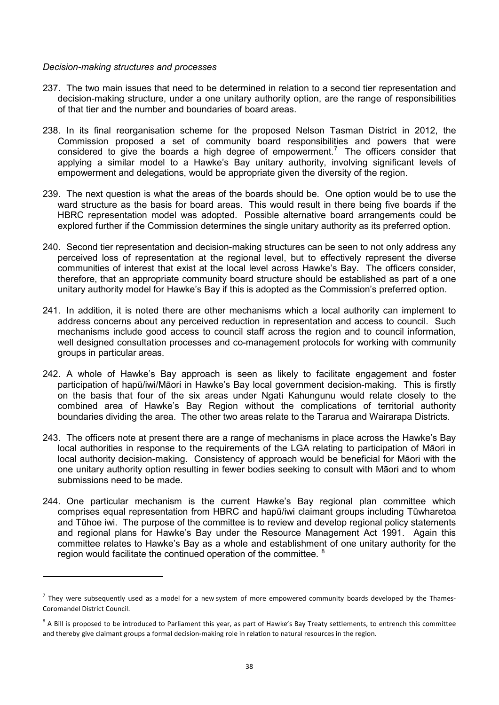#### *Decision-making structures and processes*

**.** 

- 237. The two main issues that need to be determined in relation to a second tier representation and decision-making structure, under a one unitary authority option, are the range of responsibilities of that tier and the number and boundaries of board areas.
- 238. In its final reorganisation scheme for the proposed Nelson Tasman District in 2012, the Commission proposed a set of community board responsibilities and powers that were considered to give the boards a high degree of empowerment.<sup>[7](#page-25-0)</sup> The officers consider that applying a similar model to a Hawke's Bay unitary authority, involving significant levels of empowerment and delegations, would be appropriate given the diversity of the region.
- 239. The next question is what the areas of the boards should be. One option would be to use the ward structure as the basis for board areas. This would result in there being five boards if the HBRC representation model was adopted. Possible alternative board arrangements could be explored further if the Commission determines the single unitary authority as its preferred option.
- 240. Second tier representation and decision-making structures can be seen to not only address any perceived loss of representation at the regional level, but to effectively represent the diverse communities of interest that exist at the local level across Hawke's Bay. The officers consider, therefore, that an appropriate community board structure should be established as part of a one unitary authority model for Hawke's Bay if this is adopted as the Commission's preferred option.
- 241. In addition, it is noted there are other mechanisms which a local authority can implement to address concerns about any perceived reduction in representation and access to council. Such mechanisms include good access to council staff across the region and to council information, well designed consultation processes and co-management protocols for working with community groups in particular areas.
- 242. A whole of Hawke's Bay approach is seen as likely to facilitate engagement and foster participation of hapū/iwi/Māori in Hawke's Bay local government decision-making. This is firstly on the basis that four of the six areas under Ngati Kahungunu would relate closely to the combined area of Hawke's Bay Region without the complications of territorial authority boundaries dividing the area. The other two areas relate to the Tararua and Wairarapa Districts.
- 243. The officers note at present there are a range of mechanisms in place across the Hawke's Bay local authorities in response to the requirements of the LGA relating to participation of Māori in local authority decision-making. Consistency of approach would be beneficial for Māori with the one unitary authority option resulting in fewer bodies seeking to consult with Māori and to whom submissions need to be made.
- 244. One particular mechanism is the current Hawke's Bay regional plan committee which comprises equal representation from HBRC and hapū/iwi claimant groups including Tūwharetoa and Tūhoe iwi. The purpose of the committee is to review and develop regional policy statements and regional plans for Hawke's Bay under the Resource Management Act 1991. Again this committee relates to Hawke's Bay as a whole and establishment of one unitary authority for the region would facilitate the continued operation of the committee. [8](#page-37-0)

 $<sup>7</sup>$  They were subsequently used as a model for a new system of more empowered community boards developed by the Thames-</sup> Coromandel District Council.

<span id="page-37-0"></span> $8$  A Bill is proposed to be introduced to Parliament this year, as part of Hawke's Bay Treaty settlements, to entrench this committee and thereby give claimant groups a formal decision-making role in relation to natural resources in the region.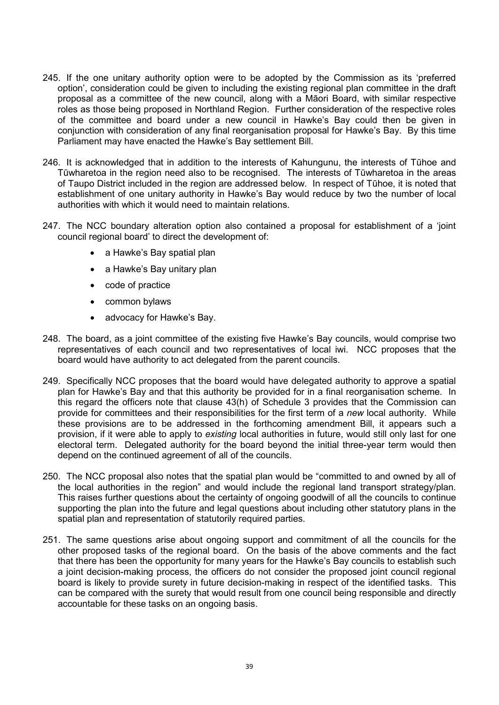- 245. If the one unitary authority option were to be adopted by the Commission as its 'preferred option', consideration could be given to including the existing regional plan committee in the draft proposal as a committee of the new council, along with a Māori Board, with similar respective roles as those being proposed in Northland Region. Further consideration of the respective roles of the committee and board under a new council in Hawke's Bay could then be given in conjunction with consideration of any final reorganisation proposal for Hawke's Bay. By this time Parliament may have enacted the Hawke's Bay settlement Bill.
- 246. It is acknowledged that in addition to the interests of Kahungunu, the interests of Tūhoe and Tūwharetoa in the region need also to be recognised. The interests of Tūwharetoa in the areas of Taupo District included in the region are addressed below. In respect of Tūhoe, it is noted that establishment of one unitary authority in Hawke's Bay would reduce by two the number of local authorities with which it would need to maintain relations.
- 247. The NCC boundary alteration option also contained a proposal for establishment of a 'joint council regional board' to direct the development of:
	- a Hawke's Bay spatial plan
	- a Hawke's Bay unitary plan
	- code of practice
	- common bylaws
	- advocacy for Hawke's Bay.
- 248. The board, as a joint committee of the existing five Hawke's Bay councils, would comprise two representatives of each council and two representatives of local iwi. NCC proposes that the board would have authority to act delegated from the parent councils.
- 249. Specifically NCC proposes that the board would have delegated authority to approve a spatial plan for Hawke's Bay and that this authority be provided for in a final reorganisation scheme. In this regard the officers note that clause 43(h) of Schedule 3 provides that the Commission can provide for committees and their responsibilities for the first term of a *new* local authority. While these provisions are to be addressed in the forthcoming amendment Bill, it appears such a provision, if it were able to apply to *existing* local authorities in future, would still only last for one electoral term. Delegated authority for the board beyond the initial three-year term would then depend on the continued agreement of all of the councils.
- 250. The NCC proposal also notes that the spatial plan would be "committed to and owned by all of the local authorities in the region" and would include the regional land transport strategy/plan. This raises further questions about the certainty of ongoing goodwill of all the councils to continue supporting the plan into the future and legal questions about including other statutory plans in the spatial plan and representation of statutorily required parties.
- 251. The same questions arise about ongoing support and commitment of all the councils for the other proposed tasks of the regional board. On the basis of the above comments and the fact that there has been the opportunity for many years for the Hawke's Bay councils to establish such a joint decision-making process, the officers do not consider the proposed joint council regional board is likely to provide surety in future decision-making in respect of the identified tasks. This can be compared with the surety that would result from one council being responsible and directly accountable for these tasks on an ongoing basis.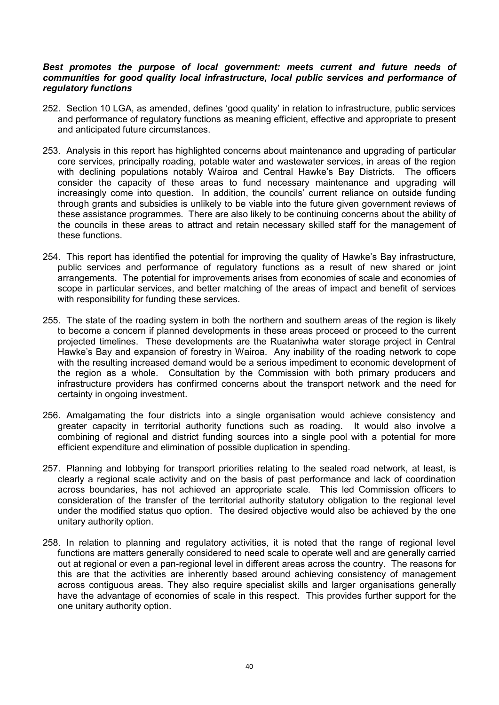### *Best promotes the purpose of local government: meets current and future needs of communities for good quality local infrastructure, local public services and performance of regulatory functions*

- 252. Section 10 LGA, as amended, defines 'good quality' in relation to infrastructure, public services and performance of regulatory functions as meaning efficient, effective and appropriate to present and anticipated future circumstances.
- 253. Analysis in this report has highlighted concerns about maintenance and upgrading of particular core services, principally roading, potable water and wastewater services, in areas of the region with declining populations notably Wairoa and Central Hawke's Bay Districts. The officers consider the capacity of these areas to fund necessary maintenance and upgrading will increasingly come into question. In addition, the councils' current reliance on outside funding through grants and subsidies is unlikely to be viable into the future given government reviews of these assistance programmes. There are also likely to be continuing concerns about the ability of the councils in these areas to attract and retain necessary skilled staff for the management of these functions.
- 254. This report has identified the potential for improving the quality of Hawke's Bay infrastructure, public services and performance of regulatory functions as a result of new shared or joint arrangements. The potential for improvements arises from economies of scale and economies of scope in particular services, and better matching of the areas of impact and benefit of services with responsibility for funding these services.
- 255. The state of the roading system in both the northern and southern areas of the region is likely to become a concern if planned developments in these areas proceed or proceed to the current projected timelines. These developments are the Ruataniwha water storage project in Central Hawke's Bay and expansion of forestry in Wairoa. Any inability of the roading network to cope with the resulting increased demand would be a serious impediment to economic development of the region as a whole. Consultation by the Commission with both primary producers and infrastructure providers has confirmed concerns about the transport network and the need for certainty in ongoing investment.
- 256. Amalgamating the four districts into a single organisation would achieve consistency and greater capacity in territorial authority functions such as roading. It would also involve a combining of regional and district funding sources into a single pool with a potential for more efficient expenditure and elimination of possible duplication in spending.
- 257. Planning and lobbying for transport priorities relating to the sealed road network, at least, is clearly a regional scale activity and on the basis of past performance and lack of coordination across boundaries, has not achieved an appropriate scale. This led Commission officers to consideration of the transfer of the territorial authority statutory obligation to the regional level under the modified status quo option. The desired objective would also be achieved by the one unitary authority option.
- 258. In relation to planning and regulatory activities, it is noted that the range of regional level functions are matters generally considered to need scale to operate well and are generally carried out at regional or even a pan-regional level in different areas across the country. The reasons for this are that the activities are inherently based around achieving consistency of management across contiguous areas. They also require specialist skills and larger organisations generally have the advantage of economies of scale in this respect. This provides further support for the one unitary authority option.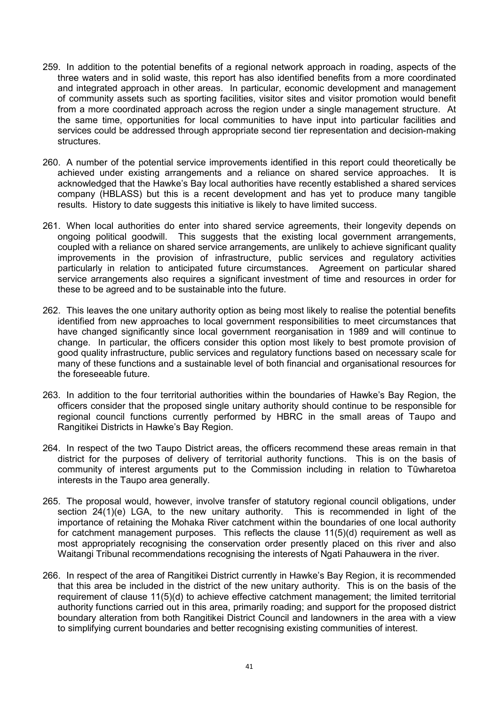- 259. In addition to the potential benefits of a regional network approach in roading, aspects of the three waters and in solid waste, this report has also identified benefits from a more coordinated and integrated approach in other areas. In particular, economic development and management of community assets such as sporting facilities, visitor sites and visitor promotion would benefit from a more coordinated approach across the region under a single management structure. At the same time, opportunities for local communities to have input into particular facilities and services could be addressed through appropriate second tier representation and decision-making structures.
- 260. A number of the potential service improvements identified in this report could theoretically be achieved under existing arrangements and a reliance on shared service approaches. It is acknowledged that the Hawke's Bay local authorities have recently established a shared services company (HBLASS) but this is a recent development and has yet to produce many tangible results. History to date suggests this initiative is likely to have limited success.
- 261. When local authorities do enter into shared service agreements, their longevity depends on ongoing political goodwill. This suggests that the existing local government arrangements, coupled with a reliance on shared service arrangements, are unlikely to achieve significant quality improvements in the provision of infrastructure, public services and regulatory activities particularly in relation to anticipated future circumstances. Agreement on particular shared service arrangements also requires a significant investment of time and resources in order for these to be agreed and to be sustainable into the future.
- 262. This leaves the one unitary authority option as being most likely to realise the potential benefits identified from new approaches to local government responsibilities to meet circumstances that have changed significantly since local government reorganisation in 1989 and will continue to change. In particular, the officers consider this option most likely to best promote provision of good quality infrastructure, public services and regulatory functions based on necessary scale for many of these functions and a sustainable level of both financial and organisational resources for the foreseeable future.
- 263. In addition to the four territorial authorities within the boundaries of Hawke's Bay Region, the officers consider that the proposed single unitary authority should continue to be responsible for regional council functions currently performed by HBRC in the small areas of Taupo and Rangitikei Districts in Hawke's Bay Region.
- 264. In respect of the two Taupo District areas, the officers recommend these areas remain in that district for the purposes of delivery of territorial authority functions. This is on the basis of community of interest arguments put to the Commission including in relation to Tūwharetoa interests in the Taupo area generally.
- 265. The proposal would, however, involve transfer of statutory regional council obligations, under section 24(1)(e) LGA, to the new unitary authority. This is recommended in light of the importance of retaining the Mohaka River catchment within the boundaries of one local authority for catchment management purposes. This reflects the clause 11(5)(d) requirement as well as most appropriately recognising the conservation order presently placed on this river and also Waitangi Tribunal recommendations recognising the interests of Ngati Pahauwera in the river.
- 266. In respect of the area of Rangitikei District currently in Hawke's Bay Region, it is recommended that this area be included in the district of the new unitary authority. This is on the basis of the requirement of clause 11(5)(d) to achieve effective catchment management; the limited territorial authority functions carried out in this area, primarily roading; and support for the proposed district boundary alteration from both Rangitikei District Council and landowners in the area with a view to simplifying current boundaries and better recognising existing communities of interest.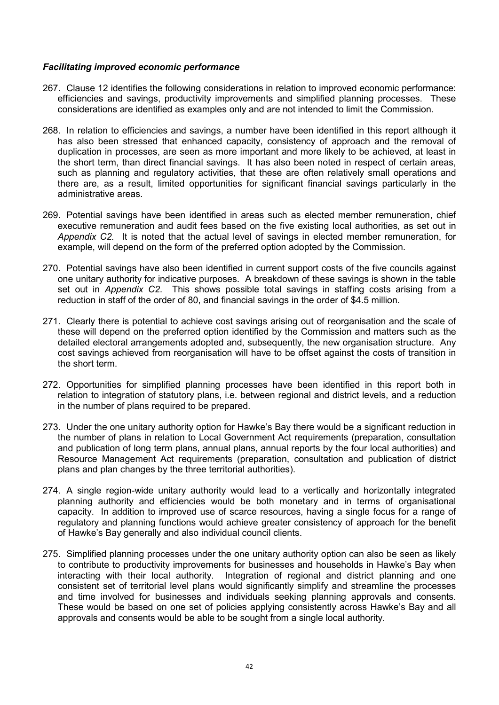# *Facilitating improved economic performance*

- 267. Clause 12 identifies the following considerations in relation to improved economic performance: efficiencies and savings, productivity improvements and simplified planning processes. These considerations are identified as examples only and are not intended to limit the Commission.
- 268. In relation to efficiencies and savings, a number have been identified in this report although it has also been stressed that enhanced capacity, consistency of approach and the removal of duplication in processes, are seen as more important and more likely to be achieved, at least in the short term, than direct financial savings. It has also been noted in respect of certain areas, such as planning and regulatory activities, that these are often relatively small operations and there are, as a result, limited opportunities for significant financial savings particularly in the administrative areas.
- 269. Potential savings have been identified in areas such as elected member remuneration, chief executive remuneration and audit fees based on the five existing local authorities, as set out in *Appendix C2.* It is noted that the actual level of savings in elected member remuneration, for example, will depend on the form of the preferred option adopted by the Commission.
- 270. Potential savings have also been identified in current support costs of the five councils against one unitary authority for indicative purposes. A breakdown of these savings is shown in the table set out in *Appendix C2*. This shows possible total savings in staffing costs arising from a reduction in staff of the order of 80, and financial savings in the order of \$4.5 million.
- 271. Clearly there is potential to achieve cost savings arising out of reorganisation and the scale of these will depend on the preferred option identified by the Commission and matters such as the detailed electoral arrangements adopted and, subsequently, the new organisation structure. Any cost savings achieved from reorganisation will have to be offset against the costs of transition in the short term.
- 272. Opportunities for simplified planning processes have been identified in this report both in relation to integration of statutory plans, i.e. between regional and district levels, and a reduction in the number of plans required to be prepared.
- 273. Under the one unitary authority option for Hawke's Bay there would be a significant reduction in the number of plans in relation to Local Government Act requirements (preparation, consultation and publication of long term plans, annual plans, annual reports by the four local authorities) and Resource Management Act requirements (preparation, consultation and publication of district plans and plan changes by the three territorial authorities).
- 274. A single region-wide unitary authority would lead to a vertically and horizontally integrated planning authority and efficiencies would be both monetary and in terms of organisational capacity. In addition to improved use of scarce resources, having a single focus for a range of regulatory and planning functions would achieve greater consistency of approach for the benefit of Hawke's Bay generally and also individual council clients.
- 275. Simplified planning processes under the one unitary authority option can also be seen as likely to contribute to productivity improvements for businesses and households in Hawke's Bay when interacting with their local authority. Integration of regional and district planning and one consistent set of territorial level plans would significantly simplify and streamline the processes and time involved for businesses and individuals seeking planning approvals and consents. These would be based on one set of policies applying consistently across Hawke's Bay and all approvals and consents would be able to be sought from a single local authority.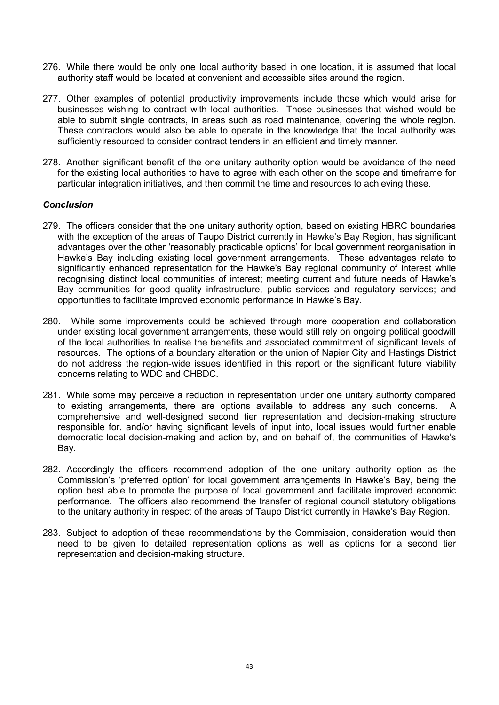- 276. While there would be only one local authority based in one location, it is assumed that local authority staff would be located at convenient and accessible sites around the region.
- 277. Other examples of potential productivity improvements include those which would arise for businesses wishing to contract with local authorities. Those businesses that wished would be able to submit single contracts, in areas such as road maintenance, covering the whole region. These contractors would also be able to operate in the knowledge that the local authority was sufficiently resourced to consider contract tenders in an efficient and timely manner.
- 278. Another significant benefit of the one unitary authority option would be avoidance of the need for the existing local authorities to have to agree with each other on the scope and timeframe for particular integration initiatives, and then commit the time and resources to achieving these.

### *Conclusion*

- 279. The officers consider that the one unitary authority option, based on existing HBRC boundaries with the exception of the areas of Taupo District currently in Hawke's Bay Region, has significant advantages over the other 'reasonably practicable options' for local government reorganisation in Hawke's Bay including existing local government arrangements. These advantages relate to significantly enhanced representation for the Hawke's Bay regional community of interest while recognising distinct local communities of interest; meeting current and future needs of Hawke's Bay communities for good quality infrastructure, public services and regulatory services; and opportunities to facilitate improved economic performance in Hawke's Bay.
- 280. While some improvements could be achieved through more cooperation and collaboration under existing local government arrangements, these would still rely on ongoing political goodwill of the local authorities to realise the benefits and associated commitment of significant levels of resources. The options of a boundary alteration or the union of Napier City and Hastings District do not address the region-wide issues identified in this report or the significant future viability concerns relating to WDC and CHBDC.
- 281. While some may perceive a reduction in representation under one unitary authority compared to existing arrangements, there are options available to address any such concerns. A comprehensive and well-designed second tier representation and decision-making structure responsible for, and/or having significant levels of input into, local issues would further enable democratic local decision-making and action by, and on behalf of, the communities of Hawke's Bay.
- 282. Accordingly the officers recommend adoption of the one unitary authority option as the Commission's 'preferred option' for local government arrangements in Hawke's Bay, being the option best able to promote the purpose of local government and facilitate improved economic performance. The officers also recommend the transfer of regional council statutory obligations to the unitary authority in respect of the areas of Taupo District currently in Hawke's Bay Region.
- 283. Subject to adoption of these recommendations by the Commission, consideration would then need to be given to detailed representation options as well as options for a second tier representation and decision-making structure.